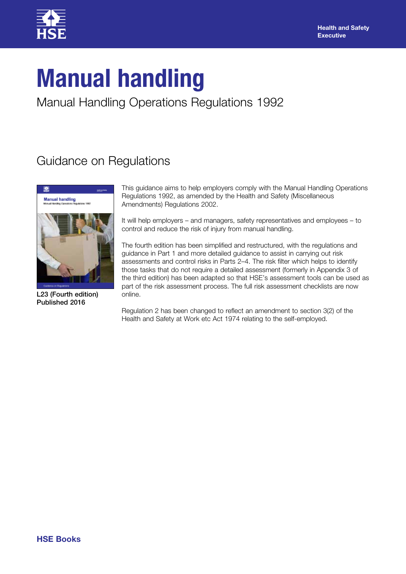

# **Manual handling**

Manual Handling Operations Regulations 1992

# Guidance on Regulations



L23 (Fourth edition) Published 2016

This guidance aims to help employers comply with the Manual Handling Operations Regulations 1992, as amended by the Health and Safety (Miscellaneous Amendments) Regulations 2002.

It will help employers – and managers, safety representatives and employees – to control and reduce the risk of injury from manual handling.

The fourth edition has been simplified and restructured, with the regulations and guidance in Part 1 and more detailed guidance to assist in carrying out risk assessments and control risks in Parts 2–4. The risk filter which helps to identify those tasks that do not require a detailed assessment (formerly in Appendix 3 of the third edition) has been adapted so that HSE's assessment tools can be used as part of the risk assessment process. The full risk assessment checklists are now online.

Regulation 2 has been changed to reflect an amendment to section 3(2) of the Health and Safety at Work etc Act 1974 relating to the self-employed.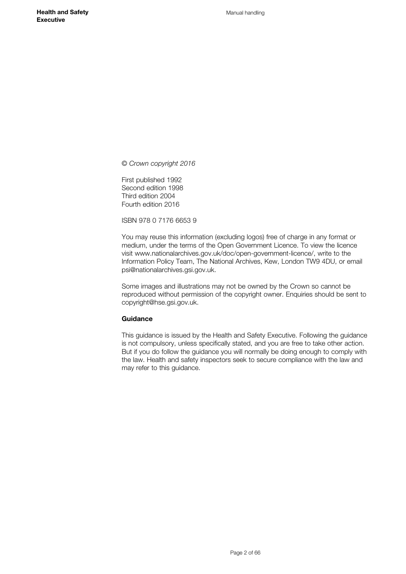*© Crown copyright 2016*

First published 1992 Second edition 1998 Third edition 2004 Fourth edition 2016

ISBN 978 0 7176 6653 9

You may reuse this information (excluding logos) free of charge in any format or medium, under the terms of the Open Government Licence. To view the licence visit www.nationalarchives.gov.uk/doc/open-government-licence/, write to the Information Policy Team, The National Archives, Kew, London TW9 4DU, or email psi@nationalarchives.gsi.gov.uk.

Some images and illustrations may not be owned by the Crown so cannot be reproduced without permission of the copyright owner. Enquiries should be sent to copyright@hse.gsi.gov.uk.

#### **Guidance**

This guidance is issued by the Health and Safety Executive. Following the guidance is not compulsory, unless specifically stated, and you are free to take other action. But if you do follow the guidance you will normally be doing enough to comply with the law. Health and safety inspectors seek to secure compliance with the law and may refer to this guidance.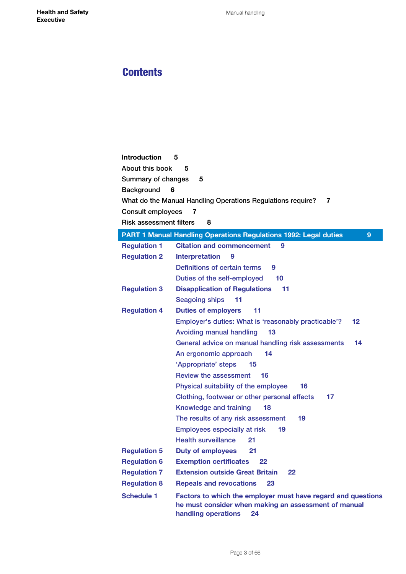# **Contents**

# **[Introduction](#page-4-0) 5** [About this book](#page-4-0) **5** [Summary of changes](#page-4-0) **5** [Background](#page-5-0) **6** [What do the Manual Handling Operations Regulations require?](#page-5-0) **7** [Consult employees](#page-6-0) **7** [Risk assessment filters](#page-7-0) **8**

|                     | <b>PART 1 Manual Handling Operations Regulations 1992: Legal duties</b><br>9                                                                      |  |  |
|---------------------|---------------------------------------------------------------------------------------------------------------------------------------------------|--|--|
| <b>Regulation 1</b> | <b>Citation and commencement</b><br>9                                                                                                             |  |  |
| <b>Regulation 2</b> | Interpretation<br>9                                                                                                                               |  |  |
|                     | Definitions of certain terms<br>9                                                                                                                 |  |  |
|                     | Duties of the self-employed<br>10                                                                                                                 |  |  |
| <b>Regulation 3</b> | <b>Disapplication of Regulations</b><br>11                                                                                                        |  |  |
|                     | <b>Seagoing ships</b><br>11                                                                                                                       |  |  |
| <b>Regulation 4</b> | <b>Duties of employers</b><br>11                                                                                                                  |  |  |
|                     | Employer's duties: What is 'reasonably practicable'?<br>12                                                                                        |  |  |
|                     | 13<br><b>Avoiding manual handling</b>                                                                                                             |  |  |
|                     | General advice on manual handling risk assessments<br>14                                                                                          |  |  |
|                     | 14<br>An ergonomic approach                                                                                                                       |  |  |
|                     | 'Appropriate' steps<br>15                                                                                                                         |  |  |
|                     | <b>Review the assessment</b><br>16                                                                                                                |  |  |
|                     | Physical suitability of the employee<br>16                                                                                                        |  |  |
|                     | Clothing, footwear or other personal effects<br>17<br>Knowledge and training<br>18                                                                |  |  |
|                     |                                                                                                                                                   |  |  |
|                     | The results of any risk assessment<br>19                                                                                                          |  |  |
|                     | <b>Employees especially at risk</b><br>19                                                                                                         |  |  |
|                     | <b>Health surveillance</b><br>21                                                                                                                  |  |  |
| <b>Regulation 5</b> | <b>Duty of employees</b><br>21                                                                                                                    |  |  |
| <b>Regulation 6</b> | <b>Exemption certificates</b><br>22                                                                                                               |  |  |
| <b>Regulation 7</b> | <b>Extension outside Great Britain</b><br>22                                                                                                      |  |  |
| <b>Regulation 8</b> | <b>Repeals and revocations</b><br>23                                                                                                              |  |  |
| <b>Schedule 1</b>   | Factors to which the employer must have regard and questions<br>he must consider when making an assessment of manual<br>handling operations<br>24 |  |  |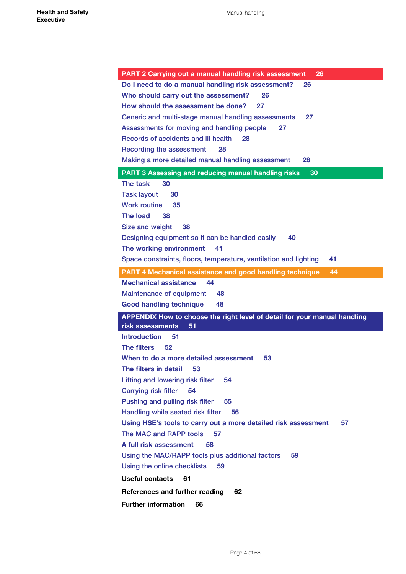| <b>PART 2 Carrying out a manual handling risk assessment</b><br>26                                  |
|-----------------------------------------------------------------------------------------------------|
| Do I need to do a manual handling risk assessment?<br>26                                            |
| Who should carry out the assessment?<br>26                                                          |
| How should the assessment be done?<br>27                                                            |
| 27                                                                                                  |
| Generic and multi-stage manual handling assessments<br>27                                           |
| Assessments for moving and handling people<br>Records of accidents and ill health<br>28             |
| Recording the assessment<br>28                                                                      |
| Making a more detailed manual handling assessment<br>28                                             |
|                                                                                                     |
| <b>PART 3 Assessing and reducing manual handling risks</b><br>30<br>The task<br>30                  |
|                                                                                                     |
| <b>Task layout</b><br>30                                                                            |
| <b>Work routine</b><br>35<br>The load                                                               |
| 38                                                                                                  |
| Size and weight<br>38                                                                               |
| Designing equipment so it can be handled easily<br>40                                               |
| The working environment<br>41                                                                       |
| Space constraints, floors, temperature, ventilation and lighting<br>41                              |
| <b>PART 4 Mechanical assistance and good handling technique</b><br>44                               |
| <b>Mechanical assistance</b><br>44                                                                  |
| <b>Maintenance of equipment</b><br>48                                                               |
| <b>Good handling technique</b><br>48                                                                |
| APPENDIX How to choose the right level of detail for your manual handling<br>risk assessments<br>51 |
| <b>Introduction</b><br>51                                                                           |
| <b>The filters</b><br>52                                                                            |
| When to do a more detailed assessment<br>53                                                         |
| The filters in detail 53                                                                            |
| Lifting and lowering risk filter<br>54                                                              |
| <b>Carrying risk filter</b><br>54                                                                   |
| Pushing and pulling risk filter<br>55                                                               |
| Handling while seated risk filter<br>56                                                             |
| Using HSE's tools to carry out a more detailed risk assessment<br>57                                |
| The MAC and RAPP tools<br>57                                                                        |
| A full risk assessment<br>58                                                                        |
| Using the MAC/RAPP tools plus additional factors<br>59                                              |
| Using the online checklists<br>59                                                                   |
| <b>Useful contacts</b><br>61                                                                        |
| 62                                                                                                  |
| References and further reading                                                                      |
| <b>Further information</b><br>66                                                                    |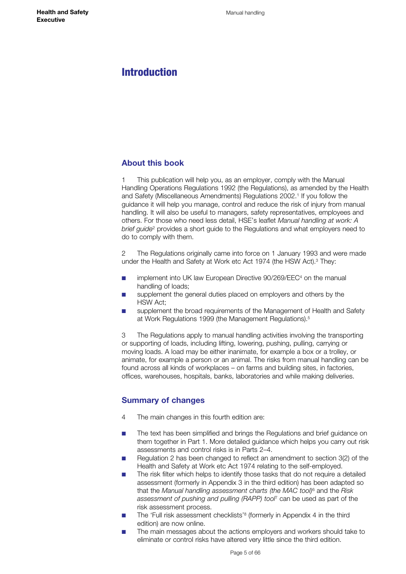# <span id="page-4-0"></span>Introduction

## **About this book**

This publication will help you, as an employer, comply with the Manual Handling Operations Regulations 1992 (the Regulations), as amended by the Health and Safety (Miscellaneous Amendments) Regulations 2002.<sup>1</sup> If you follow the guidance it will help you manage, control and reduce the risk of injury from manual handling. It will also be useful to managers, safety representatives, employees and others. For those who need less detail, HSE's leaflet *Manual handling at work: A brief guide*2 provides a short guide to the Regulations and what employers need to do to comply with them.

2 The Regulations originally came into force on 1 January 1993 and were made under the Health and Safety at Work etc Act 1974 (the HSW Act).<sup>3</sup> They:

- implement into UK law European Directive 90/269/EEC<sup>4</sup> on the manual handling of loads;
- supplement the general duties placed on employers and others by the HSW Act;
- supplement the broad requirements of the Management of Health and Safety at Work Regulations 1999 (the Management Regulations).5

3 The Regulations apply to manual handling activities involving the transporting or supporting of loads, including lifting, lowering, pushing, pulling, carrying or moving loads. A load may be either inanimate, for example a box or a trolley, or animate, for example a person or an animal. The risks from manual handling can be found across all kinds of workplaces – on farms and building sites, in factories, offices, warehouses, hospitals, banks, laboratories and while making deliveries.

## **Summary of changes**

- 4 The main changes in this fourth edition are:
- The text has been simplified and brings the Regulations and brief guidance on them together in Part 1. More detailed guidance which helps you carry out risk assessments and control risks is in Parts 2–4.
- Regulation 2 has been changed to reflect an amendment to section 3(2) of the Health and Safety at Work etc Act 1974 relating to the self-employed.
- The risk filter which helps to identify those tasks that do not require a detailed assessment (formerly in Appendix 3 in the third edition) has been adapted so that the *Manual handling assessment charts (the MAC tool)*6 and the *Risk assessment of pushing and pulling (RAPP) tool*7 can be used as part of the risk assessment process.
- The 'Full risk assessment checklists'<sup>8</sup> (formerly in Appendix 4 in the third edition) are now online.
- The main messages about the actions employers and workers should take to eliminate or control risks have altered very little since the third edition.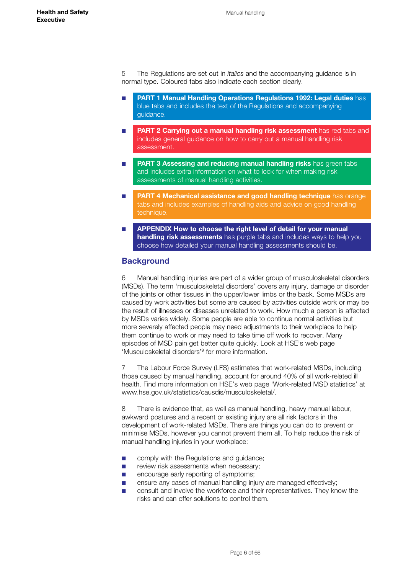<span id="page-5-0"></span>5 The Regulations are set out in *italics* and the accompanying guidance is in normal type. Coloured tabs also indicate each section clearly.

- **PART 1 Manual Handling Operations Regulations 1992: Legal duties has** blue tabs and includes the text of the Regulations and accompanying guidance.
- **PART 2 Carrying out a manual handling risk assessment** has red tabs and includes general guidance on how to carry out a manual handling risk assessment.
- **PART 3 Assessing and reducing manual handling risks** has green tabs and includes extra information on what to look for when making risk assessments of manual handling activities.
- **PART 4 Mechanical assistance and good handling technique** has orange tabs and includes examples of handling aids and advice on good handling technique.
- **EXPENDIX How to choose the right level of detail for your manual handling risk assessments** has purple tabs and includes ways to help you choose how detailed your manual handling assessments should be.

## **Background**

6 Manual handling injuries are part of a wider group of musculoskeletal disorders (MSDs). The term 'musculoskeletal disorders' covers any injury, damage or disorder of the joints or other tissues in the upper/lower limbs or the back. Some MSDs are caused by work activities but some are caused by activities outside work or may be the result of illnesses or diseases unrelated to work. How much a person is affected by MSDs varies widely. Some people are able to continue normal activities but more severely affected people may need adjustments to their workplace to help them continue to work or may need to take time off work to recover. Many episodes of MSD pain get better quite quickly. Look at HSE's web page 'Musculoskeletal disorders'9 for more information.

7 The Labour Force Survey (LFS) estimates that work-related MSDs, including those caused by manual handling, account for around 40% of all work-related ill health. Find more information on HSE's web page 'Work-related MSD statistics' at [www.hse.gov.uk/statistics/causdis/musculoskeletal/.](http://www.hse.gov.uk/statistics/causdis/musculoskeletal/)

8 There is evidence that, as well as manual handling, heavy manual labour, awkward postures and a recent or existing injury are all risk factors in the development of work-related MSDs. There are things you can do to prevent or minimise MSDs, however you cannot prevent them all. To help reduce the risk of manual handling injuries in your workplace:

- comply with the Regulations and guidance;
- review risk assessments when necessary;
- encourage early reporting of symptoms:
- ensure any cases of manual handling injury are managed effectively;
- consult and involve the workforce and their representatives. They know the risks and can offer solutions to control them.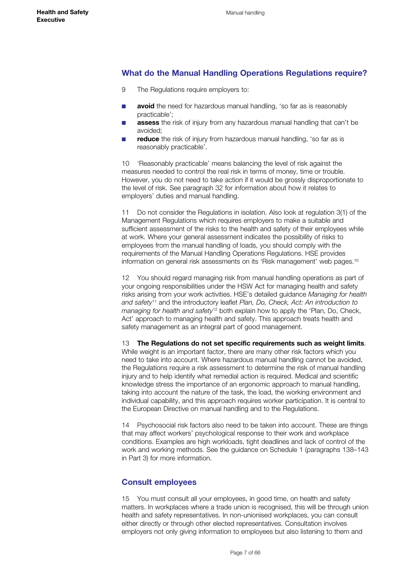## <span id="page-6-0"></span>**What do the Manual Handling Operations Regulations require?**

- 9 The Regulations require employers to:
- **avoid** the need for hazardous manual handling, 'so far as is reasonably practicable';
- **assess** the risk of injury from any hazardous manual handling that can't be avoided;
- **reduce** the risk of injury from hazardous manual handling, 'so far as is reasonably practicable'.

10 'Reasonably practicable' means balancing the level of risk against the measures needed to control the real risk in terms of money, time or trouble. However, you do not need to take action if it would be grossly disproportionate to the level of risk. See paragraph 32 for information about how it relates to employers' duties and manual handling.

11 Do not consider the Regulations in isolation. Also look at regulation 3(1) of the Management Regulations which requires employers to make a suitable and sufficient assessment of the risks to the health and safety of their employees while at work. Where your general assessment indicates the possibility of risks to employees from the manual handling of loads, you should comply with the requirements of the Manual Handling Operations Regulations. HSE provides information on general risk assessments on its 'Risk management' web pages.10

12 You should regard managing risk from manual handling operations as part of your ongoing responsibilities under the HSW Act for managing health and safety risks arising from your work activities. HSE's detailed guidance *Managing for health and safety*11 and the introductory leaflet *Plan, Do, Check, Act: An introduction to managing for health and safety*12 both explain how to apply the 'Plan, Do, Check, Act' approach to managing health and safety. This approach treats health and safety management as an integral part of good management.

13 **The Regulations do not set specific requirements such as weight limits**. While weight is an important factor, there are many other risk factors which you need to take into account. Where hazardous manual handling cannot be avoided, the Regulations require a risk assessment to determine the risk of manual handling injury and to help identify what remedial action is required. Medical and scientific knowledge stress the importance of an ergonomic approach to manual handling, taking into account the nature of the task, the load, the working environment and individual capability, and this approach requires worker participation. It is central to the European Directive on manual handling and to the Regulations.

14 Psychosocial risk factors also need to be taken into account. These are things that may affect workers' psychological response to their work and workplace conditions. Examples are high workloads, tight deadlines and lack of control of the work and working methods. See the guidance on Schedule 1 (paragraphs 138–143 in Part 3) for more information.

## **Consult employees**

15 You must consult all your employees, in good time, on health and safety matters. In workplaces where a trade union is recognised, this will be through union health and safety representatives. In non-unionised workplaces, you can consult either directly or through other elected representatives. Consultation involves employers not only giving information to employees but also listening to them and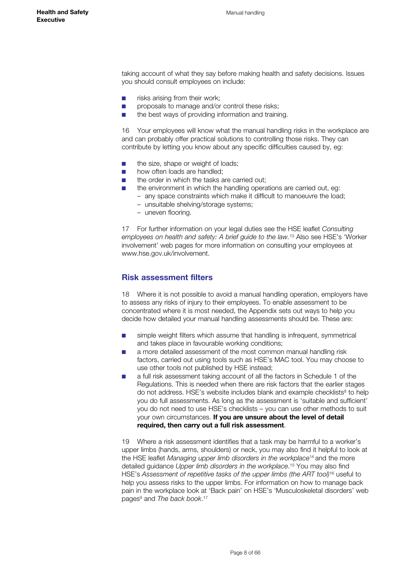<span id="page-7-0"></span>taking account of what they say before making health and safety decisions. Issues you should consult employees on include:

- risks arising from their work;
- proposals to manage and/or control these risks;
- the best ways of providing information and training.

16 Your employees will know what the manual handling risks in the workplace are and can probably offer practical solutions to controlling those risks. They can contribute by letting you know about any specific difficulties caused by, eg:

- the size, shape or weight of loads;
- how often loads are handled:
- the order in which the tasks are carried out:
	- the environment in which the handling operations are carried out, eg:
	- any space constraints which make it difficult to manoeuvre the load;
	- unsuitable shelving/storage systems;
	- uneven flooring.

17 For further information on your legal duties see the HSE leaflet *Consulting employees on health and safety: A brief guide to the law.*13 Also see HSE's 'Worker involvement' web pages for more information on consulting your employees at www.hse.gov.uk/involvement.

#### **Risk assessment filters**

18 Where it is not possible to avoid a manual handling operation, employers have to assess any risks of injury to their employees. To enable assessment to be concentrated where it is most needed, the Appendix sets out ways to help you decide how detailed your manual handling assessments should be. These are:

- simple weight filters which assume that handling is infrequent, symmetrical and takes place in favourable working conditions;
- a more detailed assessment of the most common manual handling risk factors, carried out using tools such as HSE's MAC tool. You may choose to use other tools not published by HSE instead;
- a full risk assessment taking account of all the factors in Schedule 1 of the Regulations. This is needed when there are risk factors that the earlier stages do not address. HSE's website includes blank and example checklists<sup>8</sup> to help you do full assessments. As long as the assessment is 'suitable and sufficient' you do not need to use HSE's checklists – you can use other methods to suit your own circumstances. **If you are unsure about the level of detail required, then carry out a full risk assessment**.

19 Where a risk assessment identifies that a task may be harmful to a worker's upper limbs (hands, arms, shoulders) or neck, you may also find it helpful to look at the HSE leaflet *Managing upper limb disorders in the workplace*14 and the more detailed guidance *Upper limb disorders in the workplace*. 15 You may also find HSE's *Assessment of repetitive tasks of the upper limbs (the ART tool)*16 useful to help you assess risks to the upper limbs. For information on how to manage back pain in the workplace look at 'Back pain' on HSE's 'Musculoskeletal disorders' web pages<sup>9</sup> and *The back book*.<sup>17</sup>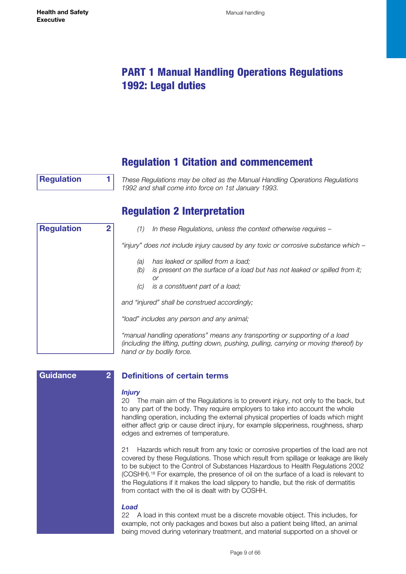# <span id="page-8-0"></span>PART 1 Manual Handling Operations Regulations 1992: Legal duties

# Regulation 1 Citation and commencement

**Regulation 1**

*These Regulations may be cited as the Manual Handling Operations Regulations 1992 and shall come into force on 1st January 1993.*

# Regulation 2 Interpretation

| <b>Regulation</b><br>2 |  | In these Regulations, unless the context otherwise requires –<br>(1)                                                                                                            |
|------------------------|--|---------------------------------------------------------------------------------------------------------------------------------------------------------------------------------|
|                        |  | "injury" does not include injury caused by any toxic or corrosive substance which -                                                                                             |
|                        |  | has leaked or spilled from a load;<br>(a)<br>is present on the surface of a load but has not leaked or spilled from it;<br>(b)<br>Оľ<br>is a constituent part of a load;<br>(C) |
|                        |  | and "injured" shall be construed accordingly;                                                                                                                                   |
|                        |  | "load" includes any person and any animal;                                                                                                                                      |
|                        |  | "manual handling operations" means any transporting or supporting of a load<br>(including the lifting, putting down, pushing, pulling, carrying or moving thereof) by           |

| Guidance | $\overline{2}$ |  |
|----------|----------------|--|
|          |                |  |
|          |                |  |
|          |                |  |
|          |                |  |
|          |                |  |
|          |                |  |
|          |                |  |
|          |                |  |
|          |                |  |
|          |                |  |
|          |                |  |
|          |                |  |
|          |                |  |
|          |                |  |
|          |                |  |
|          |                |  |
|          |                |  |
|          |                |  |

# **Definitions of certain terms**

*hand or by bodily force.*

#### *Injury*

20 The main aim of the Regulations is to prevent injury, not only to the back, but to any part of the body. They require employers to take into account the whole handling operation, including the external physical properties of loads which might either affect grip or cause direct injury, for example slipperiness, roughness, sharp edges and extremes of temperature.

21 Hazards which result from any toxic or corrosive properties of the load are not covered by these Regulations. Those which result from spillage or leakage are likely to be subject to the Control of Substances Hazardous to Health Regulations 2002 (COSHH).18 For example, the presence of oil on the surface of a load is relevant to the Regulations if it makes the load slippery to handle, but the risk of dermatitis from contact with the oil is dealt with by COSHH.

#### *Load*

22 A load in this context must be a discrete movable object. This includes, for example, not only packages and boxes but also a patient being lifted, an animal being moved during veterinary treatment, and material supported on a shovel or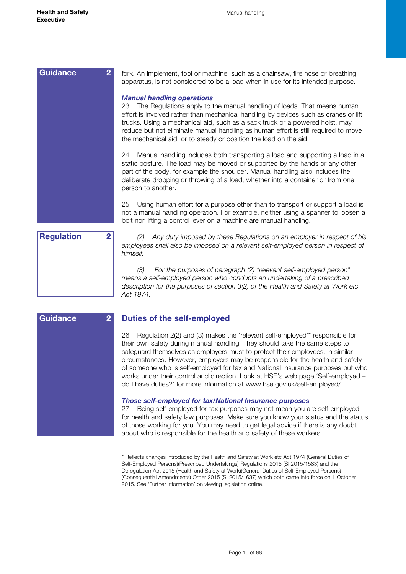**Guidance 2**

<span id="page-9-0"></span>

| <b>Guidance</b><br>$\overline{2}$   | fork. An implement, tool or machine, such as a chainsaw, fire hose or breathing<br>apparatus, is not considered to be a load when in use for its intended purpose.                                                                                                                                                                                                                                                                                    |
|-------------------------------------|-------------------------------------------------------------------------------------------------------------------------------------------------------------------------------------------------------------------------------------------------------------------------------------------------------------------------------------------------------------------------------------------------------------------------------------------------------|
|                                     | <b>Manual handling operations</b><br>The Regulations apply to the manual handling of loads. That means human<br>23<br>effort is involved rather than mechanical handling by devices such as cranes or lift<br>trucks. Using a mechanical aid, such as a sack truck or a powered hoist, may<br>reduce but not eliminate manual handling as human effort is still required to move<br>the mechanical aid, or to steady or position the load on the aid. |
|                                     | Manual handling includes both transporting a load and supporting a load in a<br>24<br>static posture. The load may be moved or supported by the hands or any other<br>part of the body, for example the shoulder. Manual handling also includes the<br>deliberate dropping or throwing of a load, whether into a container or from one<br>person to another.                                                                                          |
|                                     | Using human effort for a purpose other than to transport or support a load is<br>25<br>not a manual handling operation. For example, neither using a spanner to loosen a<br>bolt nor lifting a control lever on a machine are manual handling.                                                                                                                                                                                                        |
| $\overline{2}$<br><b>Regulation</b> | Any duty imposed by these Regulations on an employer in respect of his<br>(2)<br>employees shall also be imposed on a relevant self-employed person in respect of<br>himself.                                                                                                                                                                                                                                                                         |
|                                     | (3)<br>For the purposes of paragraph (2) "relevant self-employed person"<br>means a self-employed person who conducts an undertaking of a prescribed<br>description for the purposes of section 3(2) of the Health and Safety at Work etc.<br>Act 1974.                                                                                                                                                                                               |

|  |  | <b>Duties of the self-employed</b> |  |
|--|--|------------------------------------|--|
|--|--|------------------------------------|--|

26 Regulation 2(2) and (3) makes the 'relevant self-employed'\* responsible for their own safety during manual handling. They should take the same steps to safeguard themselves as employers must to protect their employees, in similar circumstances. However, employers may be responsible for the health and safety of someone who is self-employed for tax and National Insurance purposes but who works under their control and direction. Look at HSE's web page 'Self-employed – do I have duties?' for more information at www.hse.gov.uk/self-employed/.

#### *Those self-employed for tax/National Insurance purposes*

27 Being self-employed for tax purposes may not mean you are self-employed for health and safety law purposes. Make sure you know your status and the status of those working for you. You may need to get legal advice if there is any doubt about who is responsible for the health and safety of these workers.

\* Reflects changes introduced by the Health and Safety at Work etc Act 1974 (General Duties of Self-Employed Persons)(Prescribed Undertakings) Regulations 2015 (SI 2015/1583) and the Deregulation Act 2015 (Health and Safety at Work)(General Duties of Self-Employed Persons) (Consequential Amendments) Order 2015 (SI 2015/1637) which both came into force on 1 October 2015. See 'Further information' on viewing legislation online.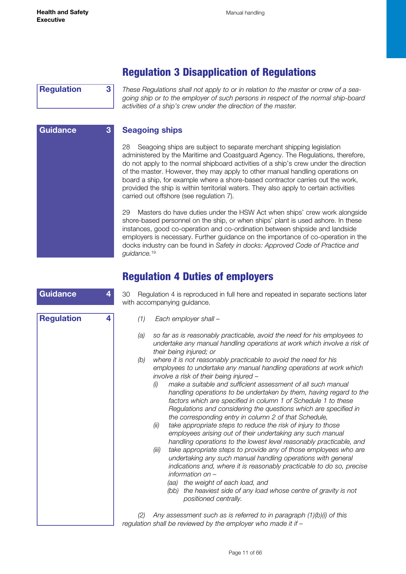<span id="page-10-0"></span>**Regulation 3**

**Guidance 3**

*These Regulations shall not apply to or in relation to the master or crew of a seagoing ship or to the employer of such persons in respect of the normal ship-board activities of a ship's crew under the direction of the master.* 

Regulation 3 Disapplication of Regulations

## **Seagoing ships**

28 Seagoing ships are subject to separate merchant shipping legislation administered by the Maritime and Coastguard Agency. The Regulations, therefore, do not apply to the normal shipboard activities of a ship's crew under the direction of the master. However, they may apply to other manual handling operations on board a ship, for example where a shore-based contractor carries out the work, provided the ship is within territorial waters. They also apply to certain activities carried out offshore (see regulation 7).

29 Masters do have duties under the HSW Act when ships' crew work alongside shore-based personnel on the ship, or when ships' plant is used ashore. In these instances, good co-operation and co-ordination between shipside and landside employers is necessary. Further guidance on the importance of co-operation in the docks industry can be found in *Safety in docks: Approved Code of Practice and guidance.*<sup>19</sup>

# Regulation 4 Duties of employers

| <b>Guidance</b>        | Regulation 4 is reproduced in full here and repeated in separate sections later<br>30<br>with accompanying guidance.                                                                                                                                                                                                                                                                                                                                                                                                                                                                                                                                                                                                                                                                                                                                                                                                                                                                                                                                                                                                                                                                                                                                           |  |  |
|------------------------|----------------------------------------------------------------------------------------------------------------------------------------------------------------------------------------------------------------------------------------------------------------------------------------------------------------------------------------------------------------------------------------------------------------------------------------------------------------------------------------------------------------------------------------------------------------------------------------------------------------------------------------------------------------------------------------------------------------------------------------------------------------------------------------------------------------------------------------------------------------------------------------------------------------------------------------------------------------------------------------------------------------------------------------------------------------------------------------------------------------------------------------------------------------------------------------------------------------------------------------------------------------|--|--|
| <b>Regulation</b><br>4 | (1)<br>Each employer shall -<br>so far as is reasonably practicable, avoid the need for his employees to<br>(a)<br>undertake any manual handling operations at work which involve a risk of<br>their being injured; or<br>where it is not reasonably practicable to avoid the need for his<br>(b)<br>employees to undertake any manual handling operations at work which<br>involve a risk of their being injured -<br>make a suitable and sufficient assessment of all such manual<br>(i)<br>handling operations to be undertaken by them, having regard to the<br>factors which are specified in column 1 of Schedule 1 to these<br>Regulations and considering the questions which are specified in<br>the corresponding entry in column 2 of that Schedule,<br>take appropriate steps to reduce the risk of injury to those<br>(ii)<br>employees arising out of their undertaking any such manual<br>handling operations to the lowest level reasonably practicable, and<br>take appropriate steps to provide any of those employees who are<br>(iii)<br>undertaking any such manual handling operations with general<br>indications and, where it is reasonably practicable to do so, precise<br>information on -<br>the weight of each load, and<br>(aa) |  |  |
|                        | the heaviest side of any load whose centre of gravity is not<br>(bb)<br>positioned centrally.<br>Any assessment such as is referred to in paragraph $(1)(b)(i)$ of this<br>(2)<br>regulation shall be reviewed by the employer who made it if -                                                                                                                                                                                                                                                                                                                                                                                                                                                                                                                                                                                                                                                                                                                                                                                                                                                                                                                                                                                                                |  |  |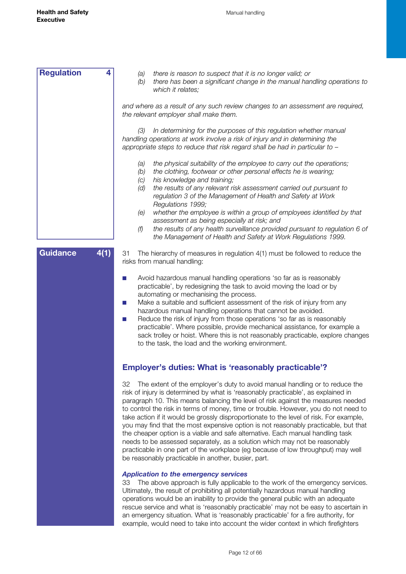<span id="page-11-0"></span>

| <b>Regulation</b>       | there is reason to suspect that it is no longer valid; or<br>(a)<br>(b)<br>there has been a significant change in the manual handling operations to<br>which it relates;                                                                                                                                                                                                                                                                                                                                                                                                                                                                                                                                                                                                                                                                      |
|-------------------------|-----------------------------------------------------------------------------------------------------------------------------------------------------------------------------------------------------------------------------------------------------------------------------------------------------------------------------------------------------------------------------------------------------------------------------------------------------------------------------------------------------------------------------------------------------------------------------------------------------------------------------------------------------------------------------------------------------------------------------------------------------------------------------------------------------------------------------------------------|
|                         | and where as a result of any such review changes to an assessment are required,<br>the relevant employer shall make them.                                                                                                                                                                                                                                                                                                                                                                                                                                                                                                                                                                                                                                                                                                                     |
|                         | In determining for the purposes of this regulation whether manual<br>(3)<br>handling operations at work involve a risk of injury and in determining the<br>appropriate steps to reduce that risk regard shall be had in particular to -                                                                                                                                                                                                                                                                                                                                                                                                                                                                                                                                                                                                       |
|                         | the physical suitability of the employee to carry out the operations;<br>(a)<br>the clothing, footwear or other personal effects he is wearing;<br>(b)<br>his knowledge and training;<br>(c)<br>the results of any relevant risk assessment carried out pursuant to<br>(d)<br>regulation 3 of the Management of Health and Safety at Work<br>Regulations 1999;<br>whether the employee is within a group of employees identified by that<br>(e)<br>assessment as being especially at risk; and<br>the results of any health surveillance provided pursuant to regulation 6 of<br>(f)<br>the Management of Health and Safety at Work Regulations 1999.                                                                                                                                                                                         |
| <b>Guidance</b><br>4(1) | The hierarchy of measures in regulation 4(1) must be followed to reduce the<br>31<br>risks from manual handling:                                                                                                                                                                                                                                                                                                                                                                                                                                                                                                                                                                                                                                                                                                                              |
|                         | Avoid hazardous manual handling operations 'so far as is reasonably<br>practicable', by redesigning the task to avoid moving the load or by<br>automating or mechanising the process.<br>Make a suitable and sufficient assessment of the risk of injury from any<br>hazardous manual handling operations that cannot be avoided.<br>Reduce the risk of injury from those operations 'so far as is reasonably<br>practicable'. Where possible, provide mechanical assistance, for example a<br>sack trolley or hoist. Where this is not reasonably practicable, explore changes<br>to the task, the load and the working environment.                                                                                                                                                                                                         |
|                         | <b>Employer's duties: What is 'reasonably practicable'?</b>                                                                                                                                                                                                                                                                                                                                                                                                                                                                                                                                                                                                                                                                                                                                                                                   |
|                         | 32<br>The extent of the employer's duty to avoid manual handling or to reduce the<br>risk of injury is determined by what is 'reasonably practicable', as explained in<br>paragraph 10. This means balancing the level of risk against the measures needed<br>to control the risk in terms of money, time or trouble. However, you do not need to<br>take action if it would be grossly disproportionate to the level of risk. For example,<br>you may find that the most expensive option is not reasonably practicable, but that<br>the cheaper option is a viable and safe alternative. Each manual handling task<br>needs to be assessed separately, as a solution which may not be reasonably<br>practicable in one part of the workplace (eg because of low throughput) may well<br>be reasonably practicable in another, busier, part. |
|                         | <b>Application to the emergency services</b><br>The above approach is fully applicable to the work of the emergency services.<br>33<br>Ultimately, the result of prohibiting all potentially hazardous manual handling<br>operations would be an inability to provide the general public with an adequate<br>rescue service and what is 'reasonably practicable' may not be easy to ascertain in<br>an emergency situation. What is 'reasonably practicable' for a fire authority, for<br>example, would need to take into account the wider context in which firefighters                                                                                                                                                                                                                                                                    |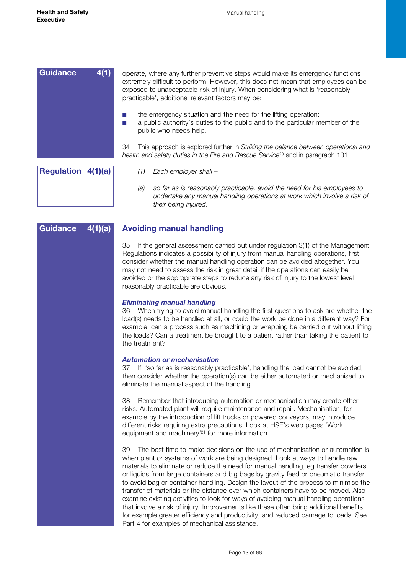<span id="page-12-0"></span>

| <b>Guidance</b>    | 4(1)<br>operate, where any further preventive steps would make its emergency functions<br>extremely difficult to perform. However, this does not mean that employees can be<br>exposed to unacceptable risk of injury. When considering what is 'reasonably<br>practicable', additional relevant factors may be: |
|--------------------|------------------------------------------------------------------------------------------------------------------------------------------------------------------------------------------------------------------------------------------------------------------------------------------------------------------|
|                    | the emergency situation and the need for the lifting operation;<br>a public authority's duties to the public and to the particular member of the<br>public who needs help.                                                                                                                                       |
|                    | This approach is explored further in Striking the balance between operational and<br>34<br>health and safety duties in the Fire and Rescue Service <sup>20</sup> and in paragraph 101.                                                                                                                           |
| Regulation 4(1)(a) | Each employer shall -                                                                                                                                                                                                                                                                                            |

| ulation 4(1)(a) |    |
|-----------------|----|
|                 | ίć |

**Guidance 4(1)(a)**

- *(1) Each employer shall –*
- *(a) so far as is reasonably practicable, avoid the need for his employees to undertake any manual handling operations at work which involve a risk of their being injured.*

#### **Avoiding manual handling**

35 If the general assessment carried out under regulation 3(1) of the Management Regulations indicates a possibility of injury from manual handling operations, first consider whether the manual handling operation can be avoided altogether. You may not need to assess the risk in great detail if the operations can easily be avoided or the appropriate steps to reduce any risk of injury to the lowest level reasonably practicable are obvious.

#### *Eliminating manual handling*

36 When trying to avoid manual handling the first questions to ask are whether the load(s) needs to be handled at all, or could the work be done in a different way? For example, can a process such as machining or wrapping be carried out without lifting the loads? Can a treatment be brought to a patient rather than taking the patient to the treatment?

#### *Automation or mechanisation*

37 If, 'so far as is reasonably practicable', handling the load cannot be avoided, then consider whether the operation(s) can be either automated or mechanised to eliminate the manual aspect of the handling.

38 Remember that introducing automation or mechanisation may create other risks. Automated plant will require maintenance and repair. Mechanisation, for example by the introduction of lift trucks or powered conveyors, may introduce different risks requiring extra precautions. Look at HSE's web pages 'Work equipment and machinery'21 for more information.

39 The best time to make decisions on the use of mechanisation or automation is when plant or systems of work are being designed. Look at ways to handle raw materials to eliminate or reduce the need for manual handling, eg transfer powders or liquids from large containers and big bags by gravity feed or pneumatic transfer to avoid bag or container handling. Design the layout of the process to minimise the transfer of materials or the distance over which containers have to be moved. Also examine existing activities to look for ways of avoiding manual handling operations that involve a risk of injury. Improvements like these often bring additional benefits, for example greater efficiency and productivity, and reduced damage to loads. See Part 4 for examples of mechanical assistance.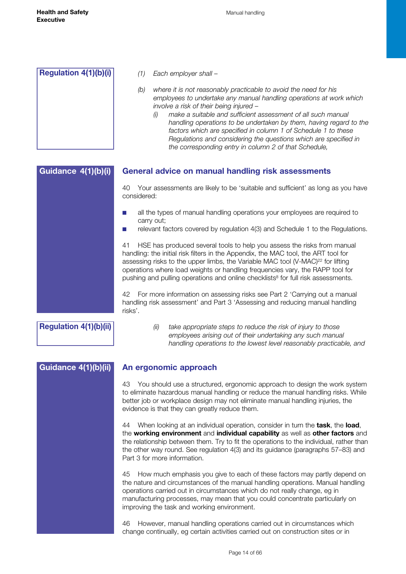<span id="page-13-0"></span>

#### **General advice on manual handling risk assessments Guidance 4(1)(b)(i)**

40 Your assessments are likely to be 'suitable and sufficient' as long as you have considered:

- all the types of manual handling operations your employees are required to carry out;
- relevant factors covered by regulation 4(3) and Schedule 1 to the Regulations.

41 HSE has produced several tools to help you assess the risks from manual handling: the initial risk filters in the Appendix, the MAC tool, the ART tool for assessing risks to the upper limbs, the Variable MAC tool (V-MAC)<sup>22</sup> for lifting operations where load weights or handling frequencies vary, the RAPP tool for pushing and pulling operations and online checklists<sup>8</sup> for full risk assessments.

42 For more information on assessing risks see Part 2 'Carrying out a manual handling risk assessment' and Part 3 'Assessing and reducing manual handling risks'.

**Regulation 4(1)(b)(ii)**

*(ii) take appropriate steps to reduce the risk of injury to those employees arising out of their undertaking any such manual handling operations to the lowest level reasonably practicable, and* 

## **Guidance 4(1)(b)(ii)**

## **An ergonomic approach**

43 You should use a structured, ergonomic approach to design the work system to eliminate hazardous manual handling or reduce the manual handling risks. While better job or workplace design may not eliminate manual handling injuries, the evidence is that they can greatly reduce them.

44 When looking at an individual operation, consider in turn the **task**, the **load**, the **working environment** and **individual capability** as well as **other factors** and the relationship between them. Try to fit the operations to the individual, rather than the other way round. See regulation 4(3) and its guidance (paragraphs 57–83) and Part 3 for more information.

45 How much emphasis you give to each of these factors may partly depend on the nature and circumstances of the manual handling operations. Manual handling operations carried out in circumstances which do not really change, eg in manufacturing processes, may mean that you could concentrate particularly on improving the task and working environment.

46 However, manual handling operations carried out in circumstances which change continually, eg certain activities carried out on construction sites or in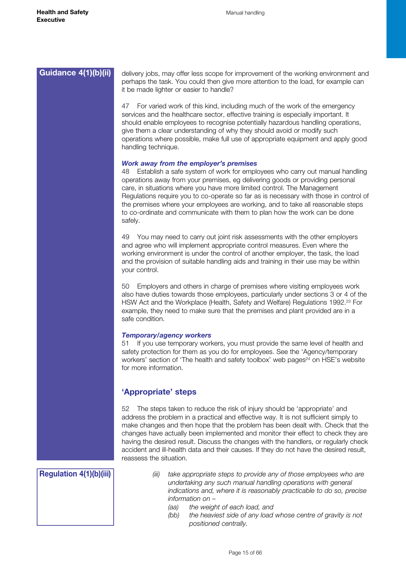<span id="page-14-0"></span>

| Guidance 4(1)(b)(ii)           | delivery jobs, may offer less scope for improvement of the working environment and<br>perhaps the task. You could then give more attention to the load, for example can<br>it be made lighter or easier to handle?                                                                                                                                                                                                                                                                                                                                           |
|--------------------------------|--------------------------------------------------------------------------------------------------------------------------------------------------------------------------------------------------------------------------------------------------------------------------------------------------------------------------------------------------------------------------------------------------------------------------------------------------------------------------------------------------------------------------------------------------------------|
|                                | For varied work of this kind, including much of the work of the emergency<br>47<br>services and the healthcare sector, effective training is especially important. It<br>should enable employees to recognise potentially hazardous handling operations,<br>give them a clear understanding of why they should avoid or modify such<br>operations where possible, make full use of appropriate equipment and apply good<br>handling technique.                                                                                                               |
|                                | Work away from the employer's premises<br>Establish a safe system of work for employees who carry out manual handling<br>48.<br>operations away from your premises, eg delivering goods or providing personal<br>care, in situations where you have more limited control. The Management<br>Regulations require you to co-operate so far as is necessary with those in control of<br>the premises where your employees are working, and to take all reasonable steps<br>to co-ordinate and communicate with them to plan how the work can be done<br>safely. |
|                                | You may need to carry out joint risk assessments with the other employers<br>49<br>and agree who will implement appropriate control measures. Even where the<br>working environment is under the control of another employer, the task, the load<br>and the provision of suitable handling aids and training in their use may be within<br>your control.                                                                                                                                                                                                     |
|                                | Employers and others in charge of premises where visiting employees work<br>50<br>also have duties towards those employees, particularly under sections 3 or 4 of the<br>HSW Act and the Workplace (Health, Safety and Welfare) Regulations 1992. <sup>23</sup> For<br>example, they need to make sure that the premises and plant provided are in a<br>safe condition.                                                                                                                                                                                      |
|                                | <b>Temporary/agency workers</b><br>If you use temporary workers, you must provide the same level of health and<br>51<br>safety protection for them as you do for employees. See the 'Agency/temporary<br>workers' section of 'The health and safety toolbox' web pages <sup>24</sup> on HSE's website<br>for more information.                                                                                                                                                                                                                               |
|                                | 'Appropriate' steps                                                                                                                                                                                                                                                                                                                                                                                                                                                                                                                                          |
|                                | The steps taken to reduce the risk of injury should be 'appropriate' and<br>52<br>address the problem in a practical and effective way. It is not sufficient simply to<br>make changes and then hope that the problem has been dealt with. Check that the<br>changes have actually been implemented and monitor their effect to check they are<br>having the desired result. Discuss the changes with the handlers, or regularly check<br>accident and ill-health data and their causes. If they do not have the desired result,<br>reassess the situation.  |
| <b>Regulation 4(1)(b)(iii)</b> | take appropriate steps to provide any of those employees who are<br>(iii)<br>undertaking any such manual handling operations with general                                                                                                                                                                                                                                                                                                                                                                                                                    |

*indications and, where it is reasonably practicable to do so, precise information on –* 

- *(aa) the weight of each load, and*
- *(bb) the heaviest side of any load whose centre of gravity is not positioned centrally.*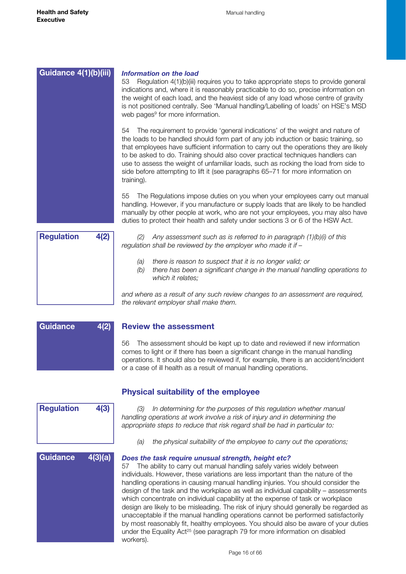<span id="page-15-0"></span>

*(2) Any assessment such as is referred to in paragraph (1)(b)(i) of this regulation shall be reviewed by the employer who made it if –*

- *(a) there is reason to suspect that it is no longer valid; or*
- *(b) there has been a significant change in the manual handling operations to which it relates;*

*and where as a result of any such review changes to an assessment are required, the relevant employer shall make them.*

| <b>Guidance</b> | 4(2) |
|-----------------|------|
|                 |      |
|                 |      |
|                 |      |

#### **Review the assessment**

56 The assessment should be kept up to date and reviewed if new information comes to light or if there has been a significant change in the manual handling operations. It should also be reviewed if, for example, there is an accident/incident or a case of ill health as a result of manual handling operations.

#### **Physical suitability of the employee**

*(3) In determining for the purposes of this regulation whether manual handling operations at work involve a risk of injury and in determining the appropriate steps to reduce that risk regard shall be had in particular to:* 

*(a) the physical suitability of the employee to carry out the operations;*

#### *Does the task require unusual strength, height etc?*

57 The ability to carry out manual handling safely varies widely between individuals. However, these variations are less important than the nature of the handling operations in causing manual handling injuries. You should consider the design of the task and the workplace as well as individual capability – assessments which concentrate on individual capability at the expense of task or workplace design are likely to be misleading. The risk of injury should generally be regarded as unacceptable if the manual handling operations cannot be performed satisfactorily by most reasonably fit, healthy employees. You should also be aware of your duties under the Equality Act<sup>25</sup> (see paragraph 79 for more information on disabled workers).



**Regulation 4(3)**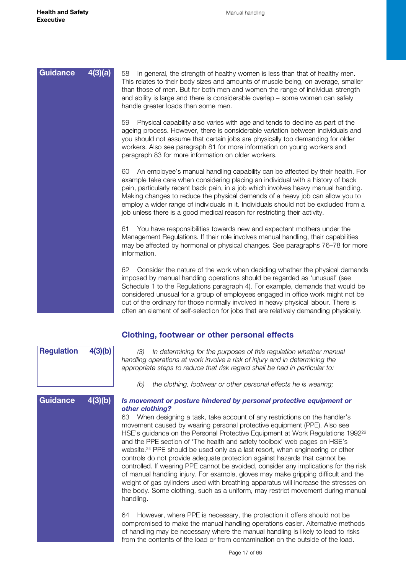**Guidance 4(3)(b)**

**Regulation 4(3)(b)**

<span id="page-16-0"></span>

| <b>Guidance</b> | 4(3)(a) | In general, the strength of healthy women is less than that of healthy men.<br>58<br>This relates to their body sizes and amounts of muscle being, on average, smaller<br>than those of men. But for both men and women the range of individual strength<br>and ability is large and there is considerable overlap - some women can safely<br>handle greater loads than some men.                                                                                                                                   |
|-----------------|---------|---------------------------------------------------------------------------------------------------------------------------------------------------------------------------------------------------------------------------------------------------------------------------------------------------------------------------------------------------------------------------------------------------------------------------------------------------------------------------------------------------------------------|
|                 |         | Physical capability also varies with age and tends to decline as part of the<br>59<br>ageing process. However, there is considerable variation between individuals and<br>you should not assume that certain jobs are physically too demanding for older<br>workers. Also see paragraph 81 for more information on young workers and<br>paragraph 83 for more information on older workers.                                                                                                                         |
|                 |         | An employee's manual handling capability can be affected by their health. For<br>60<br>example take care when considering placing an individual with a history of back<br>pain, particularly recent back pain, in a job which involves heavy manual handling.<br>Making changes to reduce the physical demands of a heavy job can allow you to<br>employ a wider range of individuals in it. Individuals should not be excluded from a<br>job unless there is a good medical reason for restricting their activity. |
|                 |         | You have responsibilities towards new and expectant mothers under the<br>61<br>Management Regulations. If their role involves manual handling, their capabilities<br>may be affected by hormonal or physical changes. See paragraphs 76–78 for more<br>information.                                                                                                                                                                                                                                                 |
|                 |         | 62<br>Consider the nature of the work when deciding whether the physical demands<br>imposed by manual handling operations should be regarded as 'unusual' (see<br>Schedule 1 to the Regulations paragraph 4). For example, demands that would be<br>considered unusual for a group of employees engaged in office work might not be<br>out of the ordinary for those normally involved in heavy physical labour. There is<br>often an element of self-selection for jobs that are relatively demanding physically.  |

| Clothing, footwear or other personal effects |  |  |  |
|----------------------------------------------|--|--|--|
|----------------------------------------------|--|--|--|

*(3) In determining for the purposes of this regulation whether manual handling operations at work involve a risk of injury and in determining the appropriate steps to reduce that risk regard shall be had in particular to:* 

*(b) the clothing, footwear or other personal effects he is wearing;*

## *Is movement or posture hindered by personal protective equipment or other clothing?*

63 When designing a task, take account of any restrictions on the handler's movement caused by wearing personal protective equipment (PPE). Also see HSE's guidance on the Personal Protective Equipment at Work Regulations 1992<sup>26</sup> and the PPE section of 'The health and safety toolbox' web pages on HSE's website.24 PPE should be used only as a last resort, when engineering or other controls do not provide adequate protection against hazards that cannot be controlled. If wearing PPE cannot be avoided, consider any implications for the risk of manual handling injury. For example, gloves may make gripping difficult and the weight of gas cylinders used with breathing apparatus will increase the stresses on the body. Some clothing, such as a uniform, may restrict movement during manual handling.

64 However, where PPE is necessary, the protection it offers should not be compromised to make the manual handling operations easier. Alternative methods of handling may be necessary where the manual handling is likely to lead to risks from the contents of the load or from contamination on the outside of the load.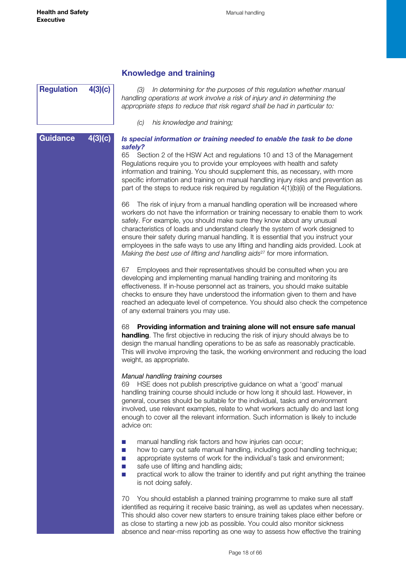# <span id="page-17-0"></span>**Regulation 4(3)(c)**

**Guidance 4(3)(c)**

## **Knowledge and training**

*(3) In determining for the purposes of this regulation whether manual handling operations at work involve a risk of injury and in determining the appropriate steps to reduce that risk regard shall be had in particular to:* 

*(c) his knowledge and training;*

#### *Is special information or training needed to enable the task to be done safely?*

65 Section 2 of the HSW Act and regulations 10 and 13 of the Management Regulations require you to provide your employees with health and safety information and training. You should supplement this, as necessary, with more specific information and training on manual handling injury risks and prevention as part of the steps to reduce risk required by regulation 4(1)(b)(ii) of the Regulations.

66 The risk of injury from a manual handling operation will be increased where workers do not have the information or training necessary to enable them to work safely. For example, you should make sure they know about any unusual characteristics of loads and understand clearly the system of work designed to ensure their safety during manual handling. It is essential that you instruct your employees in the safe ways to use any lifting and handling aids provided. Look at *Making the best use of lifting and handling aids*27 for more information.

67 Employees and their representatives should be consulted when you are developing and implementing manual handling training and monitoring its effectiveness. If in-house personnel act as trainers, you should make suitable checks to ensure they have understood the information given to them and have reached an adequate level of competence. You should also check the competence of any external trainers you may use.

68 **Providing information and training alone will not ensure safe manual handling**. The first objective in reducing the risk of injury should always be to design the manual handling operations to be as safe as reasonably practicable. This will involve improving the task, the working environment and reducing the load weight, as appropriate.

#### *Manual handling training courses*

69 HSE does not publish prescriptive guidance on what a 'good' manual handling training course should include or how long it should last. However, in general, courses should be suitable for the individual, tasks and environment involved, use relevant examples, relate to what workers actually do and last long enough to cover all the relevant information. Such information is likely to include advice on:

- manual handling risk factors and how injuries can occur;
- how to carry out safe manual handling, including good handling technique;
- appropriate systems of work for the individual's task and environment;
- safe use of lifting and handling aids;
- practical work to allow the trainer to identify and put right anything the trainee is not doing safely.

70 You should establish a planned training programme to make sure all staff identified as requiring it receive basic training, as well as updates when necessary. This should also cover new starters to ensure training takes place either before or as close to starting a new job as possible. You could also monitor sickness absence and near-miss reporting as one way to assess how effective the training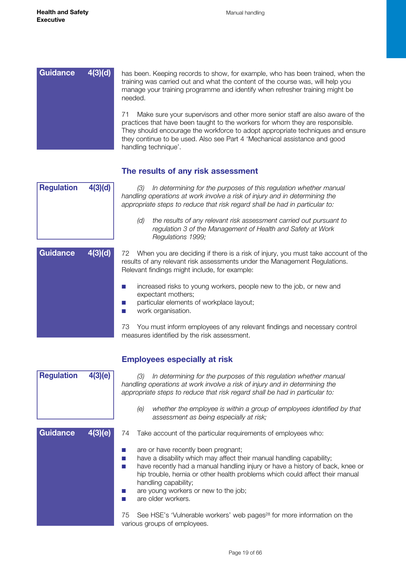<span id="page-18-0"></span>

## **The results of any risk assessment**

| 4(3)(d)<br><b>Regulation</b> |         | In determining for the purposes of this regulation whether manual<br>(3)<br>handling operations at work involve a risk of injury and in determining the<br>appropriate steps to reduce that risk regard shall be had in particular to: |
|------------------------------|---------|----------------------------------------------------------------------------------------------------------------------------------------------------------------------------------------------------------------------------------------|
|                              |         | the results of any relevant risk assessment carried out pursuant to<br>(d)<br>regulation 3 of the Management of Health and Safety at Work<br>Regulations 1999;                                                                         |
| <b>Guidance</b>              | 4(3)(d) | 72<br>When you are deciding if there is a risk of injury, you must take account of the<br>results of any relevant risk assessments under the Management Regulations.<br>Relevant findings might include, for example:                  |
|                              |         | increased risks to young workers, people new to the job, or new and<br>expectant mothers;<br>particular elements of workplace layout;<br>work organisation.                                                                            |
|                              |         | You must inform employees of any relevant findings and necessary control<br>73                                                                                                                                                         |

| <b>Regulation</b> | 4(3)(e) | In determining for the purposes of this regulation whether manual<br>(3)<br>handling operations at work involve a risk of injury and in determining the<br>appropriate steps to reduce that risk regard shall be had in particular to:                                                                                                                             |  |
|-------------------|---------|--------------------------------------------------------------------------------------------------------------------------------------------------------------------------------------------------------------------------------------------------------------------------------------------------------------------------------------------------------------------|--|
|                   |         | whether the employee is within a group of employees identified by that<br>(e)<br>assessment as being especially at risk;                                                                                                                                                                                                                                           |  |
| <b>Guidance</b>   | 4(3)(e) | Take account of the particular requirements of employees who:<br>74                                                                                                                                                                                                                                                                                                |  |
|                   |         | are or have recently been pregnant;<br>have a disability which may affect their manual handling capability;<br>have recently had a manual handling injury or have a history of back, knee or<br>hip trouble, hernia or other health problems which could affect their manual<br>handling capability;<br>are young workers or new to the job;<br>are older workers. |  |
|                   |         | See HSE's 'Vulnerable workers' web pages <sup>28</sup> for more information on the<br>75<br>various groups of employees.                                                                                                                                                                                                                                           |  |

## **Employees especially at risk**

measures identified by the risk assessment.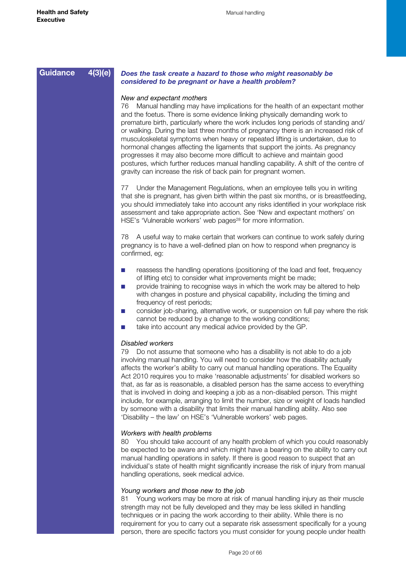| <b>Guidance</b> | 4(3)(e) |  |
|-----------------|---------|--|
|-----------------|---------|--|

#### *Does the task create a hazard to those who might reasonably be considered to be pregnant or have a health problem?*

#### *New and expectant mothers*

76 Manual handling may have implications for the health of an expectant mother and the foetus. There is some evidence linking physically demanding work to premature birth, particularly where the work includes long periods of standing and/ or walking. During the last three months of pregnancy there is an increased risk of musculoskeletal symptoms when heavy or repeated lifting is undertaken, due to hormonal changes affecting the ligaments that support the joints. As pregnancy progresses it may also become more difficult to achieve and maintain good postures, which further reduces manual handling capability. A shift of the centre of gravity can increase the risk of back pain for pregnant women.

77 Under the Management Regulations, when an employee tells you in writing that she is pregnant, has given birth within the past six months, or is breastfeeding, you should immediately take into account any risks identified in your workplace risk assessment and take appropriate action. See 'New and expectant mothers' on HSE's 'Vulnerable workers' web pages<sup>28</sup> for more information.

78 A useful way to make certain that workers can continue to work safely during pregnancy is to have a well-defined plan on how to respond when pregnancy is confirmed, eg:

- reassess the handling operations (positioning of the load and feet, frequency of lifting etc) to consider what improvements might be made;
- provide training to recognise ways in which the work may be altered to help with changes in posture and physical capability, including the timing and frequency of rest periods;
- consider job-sharing, alternative work, or suspension on full pay where the risk cannot be reduced by a change to the working conditions;
- take into account any medical advice provided by the GP.

#### *Disabled workers*

79 Do not assume that someone who has a disability is not able to do a job involving manual handling. You will need to consider how the disability actually affects the worker's ability to carry out manual handling operations. The Equality Act 2010 requires you to make 'reasonable adjustments' for disabled workers so that, as far as is reasonable, a disabled person has the same access to everything that is involved in doing and keeping a job as a non-disabled person. This might include, for example, arranging to limit the number, size or weight of loads handled by someone with a disability that limits their manual handling ability. Also see 'Disability – the law' on HSE's 'Vulnerable workers' web pages.

#### *Workers with health problems*

80 You should take account of any health problem of which you could reasonably be expected to be aware and which might have a bearing on the ability to carry out manual handling operations in safety. If there is good reason to suspect that an individual's state of health might significantly increase the risk of injury from manual handling operations, seek medical advice.

#### *Young workers and those new to the job*

81 Young workers may be more at risk of manual handling injury as their muscle strength may not be fully developed and they may be less skilled in handling techniques or in pacing the work according to their ability. While there is no requirement for you to carry out a separate risk assessment specifically for a young person, there are specific factors you must consider for young people under health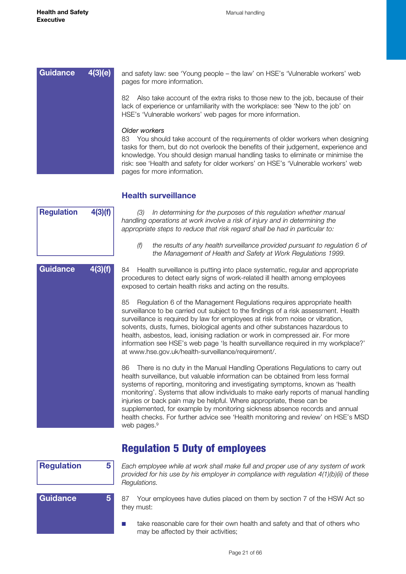<span id="page-20-0"></span>

## **Health surveillance**



**Guidance 4(3)(f)**

*(3) In determining for the purposes of this regulation whether manual handling operations at work involve a risk of injury and in determining the appropriate steps to reduce that risk regard shall be had in particular to:* 

*(f) the results of any health surveillance provided pursuant to regulation 6 of the Management of Health and Safety at Work Regulations 1999.*

84 Health surveillance is putting into place systematic, regular and appropriate procedures to detect early signs of work-related ill health among employees exposed to certain health risks and acting on the results.

85 Regulation 6 of the Management Regulations requires appropriate health surveillance to be carried out subject to the findings of a risk assessment. Health surveillance is required by law for employees at risk from noise or vibration, solvents, dusts, fumes, biological agents and other substances hazardous to health, asbestos, lead, ionising radiation or work in compressed air. For more information see HSE's web page 'Is health surveillance required in my workplace?' at www.hse.gov.uk/health-surveillance/requirement/.

86 There is no duty in the Manual Handling Operations Regulations to carry out health surveillance, but valuable information can be obtained from less formal systems of reporting, monitoring and investigating symptoms, known as 'health monitoring'. Systems that allow individuals to make early reports of manual handling injuries or back pain may be helpful. Where appropriate, these can be supplemented, for example by monitoring sickness absence records and annual health checks. For further advice see 'Health monitoring and review' on HSE's MSD web pages.<sup>9</sup>

# Regulation 5 Duty of employees

| <b>Regulation</b> | 5. | Each employee while at work shall make full and proper use of any system of work<br>provided for his use by his employer in compliance with regulation $4(1)(b)(ii)$ of these<br>Regulations. |  |
|-------------------|----|-----------------------------------------------------------------------------------------------------------------------------------------------------------------------------------------------|--|
| <b>Guidance</b>   | 5, | Your employees have duties placed on them by section 7 of the HSW Act so<br>they must:                                                                                                        |  |
|                   |    | take reasonable care for their own health and safety and that of others who<br>may be affected by their activities;                                                                           |  |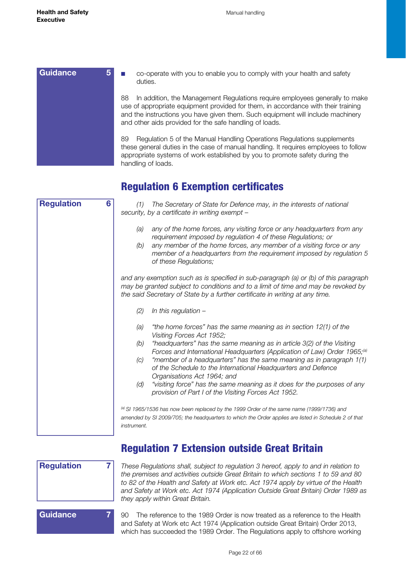<span id="page-21-0"></span>

| Guidance | co-operate with you to enable you to comply with your health and safety<br>duties.                                                                                                                                                                                                                                   |
|----------|----------------------------------------------------------------------------------------------------------------------------------------------------------------------------------------------------------------------------------------------------------------------------------------------------------------------|
|          | In addition, the Management Regulations require employees generally to make<br>88<br>use of appropriate equipment provided for them, in accordance with their training<br>and the instructions you have given them. Such equipment will include machinery<br>and other aids provided for the safe handling of loads. |
|          | Regulation 5 of the Manual Handling Operations Regulations supplements<br>89<br>these general duties in the case of manual handling. It requires employees to follow<br>appropriate systems of work established by you to promote safety during the<br>handling of loads.                                            |

# Regulation 6 Exemption certificates

| 6<br><b>Regulation</b> | The Secretary of State for Defence may, in the interests of national<br>(1)<br>security, by a certificate in writing exempt -                                                                                                                                                                                                                                                                                                                                                                                                                                                                             |
|------------------------|-----------------------------------------------------------------------------------------------------------------------------------------------------------------------------------------------------------------------------------------------------------------------------------------------------------------------------------------------------------------------------------------------------------------------------------------------------------------------------------------------------------------------------------------------------------------------------------------------------------|
|                        | any of the home forces, any visiting force or any headquarters from any<br>(a)<br>requirement imposed by regulation 4 of these Regulations; or<br>any member of the home forces, any member of a visiting force or any<br>(b)<br>member of a headquarters from the requirement imposed by regulation 5<br>of these Regulations;                                                                                                                                                                                                                                                                           |
|                        | and any exemption such as is specified in sub-paragraph (a) or (b) of this paragraph<br>may be granted subject to conditions and to a limit of time and may be revoked by<br>the said Secretary of State by a further certificate in writing at any time.                                                                                                                                                                                                                                                                                                                                                 |
|                        | (2)<br>In this regulation -                                                                                                                                                                                                                                                                                                                                                                                                                                                                                                                                                                               |
|                        | "the home forces" has the same meaning as in section 12(1) of the<br>(a)<br>Visiting Forces Act 1952;<br>"headquarters" has the same meaning as in article 3(2) of the Visiting<br>(b)<br>Forces and International Headquarters (Application of Law) Order 1965; <sup>(a)</sup><br>"member of a headquarters" has the same meaning as in paragraph 1(1)<br>(C)<br>of the Schedule to the International Headquarters and Defence<br>Organisations Act 1964; and<br>"visiting force" has the same meaning as it does for the purposes of any<br>(d)<br>provision of Part I of the Visiting Forces Act 1952. |
|                        | (a) SI 1965/1536 has now been replaced by the 1999 Order of the same name (1999/1736) and<br>amended by SI 2009/705; the headquarters to which the Order applies are listed in Schedule 2 of that<br><i>instrument.</i>                                                                                                                                                                                                                                                                                                                                                                                   |



Regulation 7 Extension outside Great Britain

*These Regulations shall, subject to regulation 3 hereof, apply to and in relation to the premises and activities outside Great Britain to which sections 1 to 59 and 80 to 82 of the Health and Safety at Work etc. Act 1974 apply by virtue of the Health and Safety at Work etc. Act 1974 (Application Outside Great Britain) Order 1989 as they apply within Great Britain.* 

90 The reference to the 1989 Order is now treated as a reference to the Health and Safety at Work etc Act 1974 (Application outside Great Britain) Order 2013, which has succeeded the 1989 Order. The Regulations apply to offshore working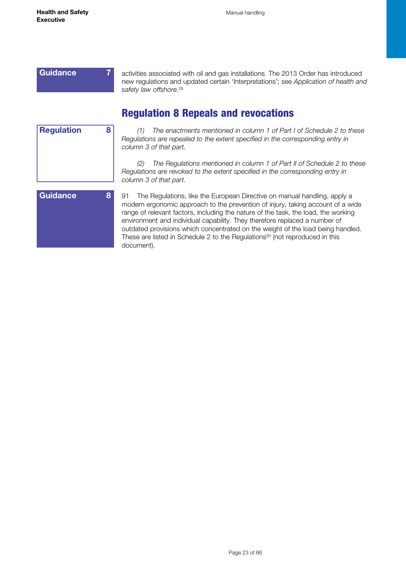# <span id="page-22-0"></span>**Guidance 7**

activities associated with oil and gas installations. The 2013 Order has introduced new regulations and updated certain 'Interpretations'; see *Application of health and safety law offshore*. 29

# Regulation 8 Repeals and revocations

| <b>Regulation</b> | 8 |
|-------------------|---|
|                   |   |
|                   |   |
|                   |   |
|                   |   |
|                   |   |
| -<br>┍            |   |

*(1) The enactments mentioned in column 1 of Part I of Schedule 2 to these Regulations are repealed to the extent specified in the corresponding entry in column 3 of that part.*

*(2) The Regulations mentioned in column 1 of Part II of Schedule 2 to these Regulations are revoked to the extent specified in the corresponding entry in column 3 of that part.*



91 The Regulations, like the European Directive on manual handling, apply a modern ergonomic approach to the prevention of injury, taking account of a wide range of relevant factors, including the nature of the task, the load, the working environment and individual capability. They therefore replaced a number of outdated provisions which concentrated on the weight of the load being handled. These are listed in Schedule 2 to the Regulations<sup>30</sup> (not reproduced in this document).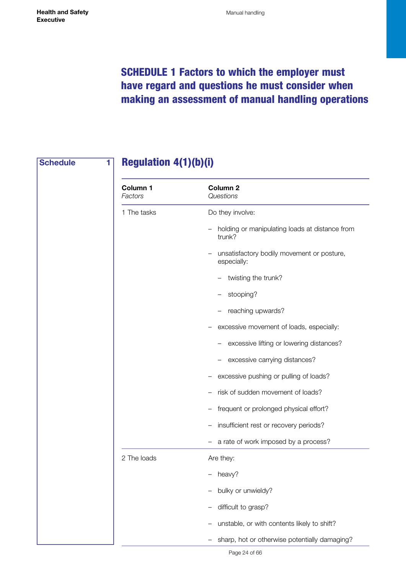# <span id="page-23-0"></span>SCHEDULE 1 Factors to which the employer must have regard and questions he must consider when making an assessment of manual handling operations

# **Schedule 1**

# Regulation 4(1)(b)(i)

| Column 1<br>Factors | Column <sub>2</sub><br>Questions                          |
|---------------------|-----------------------------------------------------------|
| 1 The tasks         | Do they involve:                                          |
|                     | holding or manipulating loads at distance from<br>trunk?  |
|                     | unsatisfactory bodily movement or posture,<br>especially: |
|                     | twisting the trunk?                                       |
|                     | stooping?                                                 |
|                     | reaching upwards?                                         |
|                     | excessive movement of loads, especially:                  |
|                     | excessive lifting or lowering distances?                  |
|                     | excessive carrying distances?                             |
|                     | excessive pushing or pulling of loads?                    |
|                     | risk of sudden movement of loads?                         |
|                     | frequent or prolonged physical effort?                    |
|                     | insufficient rest or recovery periods?                    |
|                     | a rate of work imposed by a process?<br>$\qquad \qquad -$ |
| 2 The loads         | Are they:                                                 |
|                     | heavy?                                                    |
|                     | bulky or unwieldy?                                        |
|                     | difficult to grasp?                                       |
|                     | unstable, or with contents likely to shift?               |
|                     | sharp, hot or otherwise potentially damaging?             |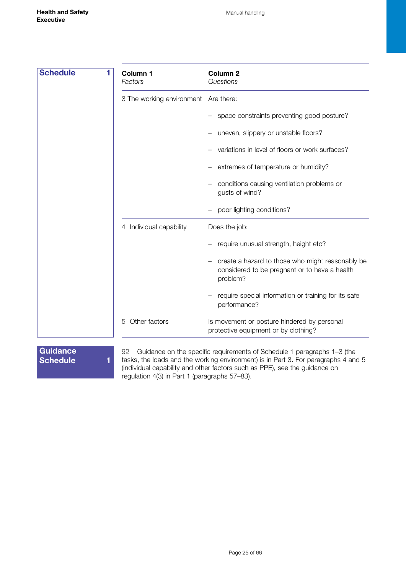| <b>Schedule</b> | Column 1<br>Factors                  | Column <sub>2</sub><br>Questions                                                                              |
|-----------------|--------------------------------------|---------------------------------------------------------------------------------------------------------------|
|                 | 3 The working environment Are there: |                                                                                                               |
|                 |                                      | space constraints preventing good posture?                                                                    |
|                 |                                      | uneven, slippery or unstable floors?                                                                          |
|                 |                                      | variations in level of floors or work surfaces?                                                               |
|                 |                                      | extremes of temperature or humidity?                                                                          |
|                 |                                      | conditions causing ventilation problems or<br>gusts of wind?                                                  |
|                 |                                      | poor lighting conditions?                                                                                     |
|                 | 4 Individual capability              | Does the job:                                                                                                 |
|                 |                                      | require unusual strength, height etc?                                                                         |
|                 |                                      | create a hazard to those who might reasonably be<br>considered to be pregnant or to have a health<br>problem? |
|                 |                                      | require special information or training for its safe<br>performance?                                          |
|                 | Other factors<br>5                   | Is movement or posture hindered by personal<br>protective equipment or by clothing?                           |
|                 |                                      |                                                                                                               |

**Guidance Schedule 1**

92 Guidance on the specific requirements of Schedule 1 paragraphs 1–3 (the tasks, the loads and the working environment) is in Part 3. For paragraphs 4 and 5 (individual capability and other factors such as PPE), see the guidance on regulation 4(3) in Part 1 (paragraphs 57–83).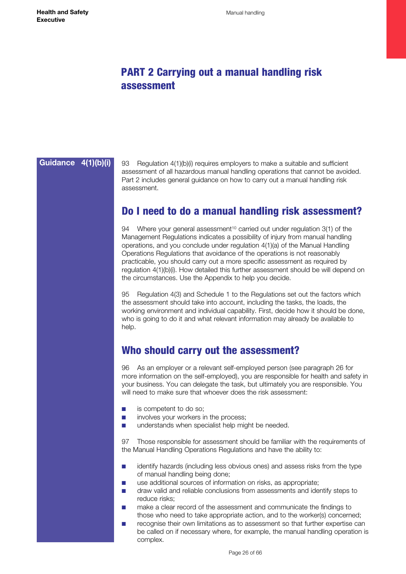# <span id="page-25-0"></span>PART 2 Carrying out a manual handling risk assessment

# **Guidance 4(1)(b)(i)**

93 Regulation 4(1)(b)(i) requires employers to make a suitable and sufficient assessment of all hazardous manual handling operations that cannot be avoided. Part 2 includes general guidance on how to carry out a manual handling risk assessment.

# Do I need to do a manual handling risk assessment?

94 Where your general assessment<sup>10</sup> carried out under regulation 3(1) of the Management Regulations indicates a possibility of injury from manual handling operations, and you conclude under regulation 4(1)(a) of the Manual Handling Operations Regulations that avoidance of the operations is not reasonably practicable, you should carry out a more specific assessment as required by regulation 4(1)(b)(i). How detailed this further assessment should be will depend on the circumstances. Use the Appendix to help you decide.

95 Regulation 4(3) and Schedule 1 to the Regulations set out the factors which the assessment should take into account, including the tasks, the loads, the working environment and individual capability. First, decide how it should be done, who is going to do it and what relevant information may already be available to help.

# Who should carry out the assessment?

96 As an employer or a relevant self-employed person (see paragraph 26 for more information on the self-employed), you are responsible for health and safety in your business. You can delegate the task, but ultimately you are responsible. You will need to make sure that whoever does the risk assessment:

- is competent to do so;
- involves your workers in the process;
- understands when specialist help might be needed.

97 Those responsible for assessment should be familiar with the requirements of the Manual Handling Operations Regulations and have the ability to:

- identify hazards (including less obvious ones) and assess risks from the type of manual handling being done;
- use additional sources of information on risks, as appropriate;
- draw valid and reliable conclusions from assessments and identify steps to reduce risks;
- make a clear record of the assessment and communicate the findings to those who need to take appropriate action, and to the worker(s) concerned;
- recognise their own limitations as to assessment so that further expertise can be called on if necessary where, for example, the manual handling operation is complex.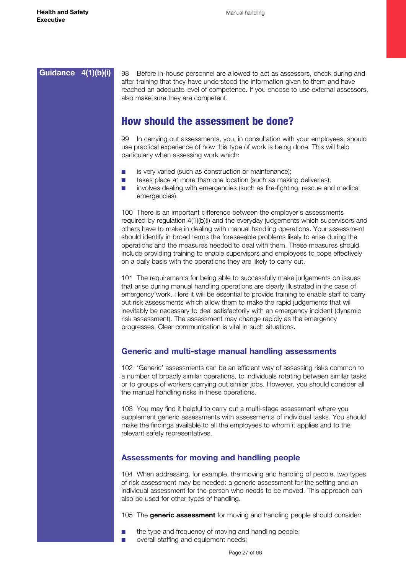# <span id="page-26-0"></span>**Guidance 4(1)(b)(i)**

98 Before in-house personnel are allowed to act as assessors, check during and after training that they have understood the information given to them and have reached an adequate level of competence. If you choose to use external assessors, also make sure they are competent.

# How should the assessment be done?

99 In carrying out assessments, you, in consultation with your employees, should use practical experience of how this type of work is being done. This will help particularly when assessing work which:

- is very varied (such as construction or maintenance):
- takes place at more than one location (such as making deliveries):
- involves dealing with emergencies (such as fire-fighting, rescue and medical emergencies).

100 There is an important difference between the employer's assessments required by regulation 4(1)(b)(i) and the everyday judgements which supervisors and others have to make in dealing with manual handling operations. Your assessment should identify in broad terms the foreseeable problems likely to arise during the operations and the measures needed to deal with them. These measures should include providing training to enable supervisors and employees to cope effectively on a daily basis with the operations they are likely to carry out.

101 The requirements for being able to successfully make judgements on issues that arise during manual handling operations are clearly illustrated in the case of emergency work. Here it will be essential to provide training to enable staff to carry out risk assessments which allow them to make the rapid judgements that will inevitably be necessary to deal satisfactorily with an emergency incident (dynamic risk assessment). The assessment may change rapidly as the emergency progresses. Clear communication is vital in such situations.

## **Generic and multi-stage manual handling assessments**

102 'Generic' assessments can be an efficient way of assessing risks common to a number of broadly similar operations, to individuals rotating between similar tasks or to groups of workers carrying out similar jobs. However, you should consider all the manual handling risks in these operations.

103 You may find it helpful to carry out a multi-stage assessment where you supplement generic assessments with assessments of individual tasks. You should make the findings available to all the employees to whom it applies and to the relevant safety representatives.

## **Assessments for moving and handling people**

104 When addressing, for example, the moving and handling of people, two types of risk assessment may be needed: a generic assessment for the setting and an individual assessment for the person who needs to be moved. This approach can also be used for other types of handling.

105 The **generic assessment** for moving and handling people should consider:

- the type and frequency of moving and handling people;
- overall staffing and equipment needs;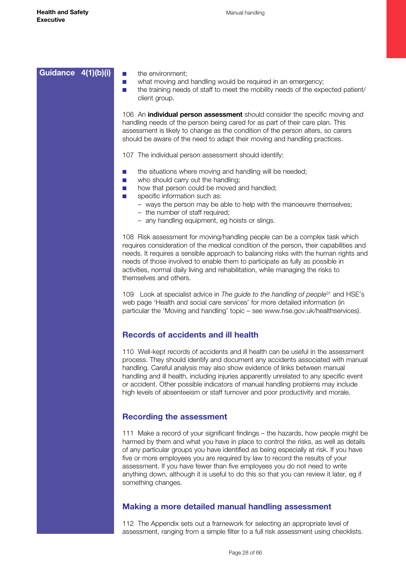<span id="page-27-0"></span>

| Guidance 4(1)(b)(i) | the environment;<br>m.<br>what moving and handling would be required in an emergency;<br>m.<br>the training needs of staff to meet the mobility needs of the expected patient/<br>m.<br>client group.                                                                                                                                                                                                                                                                                                                                          |
|---------------------|------------------------------------------------------------------------------------------------------------------------------------------------------------------------------------------------------------------------------------------------------------------------------------------------------------------------------------------------------------------------------------------------------------------------------------------------------------------------------------------------------------------------------------------------|
|                     | 106 An <b>individual person assessment</b> should consider the specific moving and<br>handling needs of the person being cared for as part of their care plan. This<br>assessment is likely to change as the condition of the person alters, so carers<br>should be aware of the need to adapt their moving and handling practices.                                                                                                                                                                                                            |
|                     | 107 The individual person assessment should identify:                                                                                                                                                                                                                                                                                                                                                                                                                                                                                          |
|                     | the situations where moving and handling will be needed;<br>ш<br>who should carry out the handling;<br>ш<br>how that person could be moved and handled;<br><b>College</b><br>specific information such as:<br><b>In the </b><br>- ways the person may be able to help with the manoeuvre themselves;<br>- the number of staff required;<br>- any handling equipment, eg hoists or slings.                                                                                                                                                      |
|                     | 108 Risk assessment for moving/handling people can be a complex task which<br>requires consideration of the medical condition of the person, their capabilities and<br>needs. It requires a sensible approach to balancing risks with the human rights and<br>needs of those involved to enable them to participate as fully as possible in<br>activities, normal daily living and rehabilitation, while managing the risks to<br>themselves and others.                                                                                       |
|                     | 109 Look at specialist advice in The guide to the handling of people <sup>31</sup> and HSE's<br>web page 'Health and social care services' for more detailed information (in<br>particular the 'Moving and handling' topic - see www.hse.gov.uk/healthservices).                                                                                                                                                                                                                                                                               |
|                     | <b>Records of accidents and ill health</b>                                                                                                                                                                                                                                                                                                                                                                                                                                                                                                     |
|                     | 110 Well-kept records of accidents and ill health can be useful in the assessment<br>process. They should identify and document any accidents associated with manual<br>handling. Careful analysis may also show evidence of links between manual<br>handling and ill health, including injuries apparently unrelated to any specific event<br>or accident. Other possible indicators of manual handling problems may include<br>high levels of absenteeism or staff turnover and poor productivity and morale.                                |
|                     | <b>Recording the assessment</b>                                                                                                                                                                                                                                                                                                                                                                                                                                                                                                                |
|                     | 111 Make a record of your significant findings – the hazards, how people might be<br>harmed by them and what you have in place to control the risks, as well as details<br>of any particular groups you have identified as being especially at risk. If you have<br>five or more employees you are required by law to record the results of your<br>assessment. If you have fewer than five employees you do not need to write<br>anything down, although it is useful to do this so that you can review it later, eg if<br>something changes. |
|                     | <b>Making a more detailed manual handling assessment</b>                                                                                                                                                                                                                                                                                                                                                                                                                                                                                       |
|                     | 112 The Appendix sets out a framework for selecting an appropriate level of<br>assessment, ranging from a simple filter to a full risk assessment using checklists.                                                                                                                                                                                                                                                                                                                                                                            |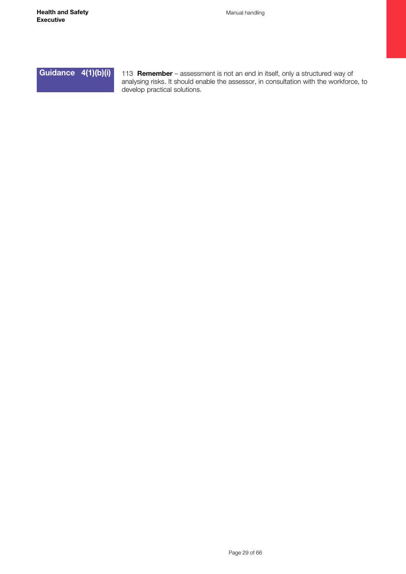**Guidance 4(1)(b)(i)**

113 **Remember** – assessment is not an end in itself, only a structured way of analysing risks. It should enable the assessor, in consultation with the workforce, to develop practical solutions.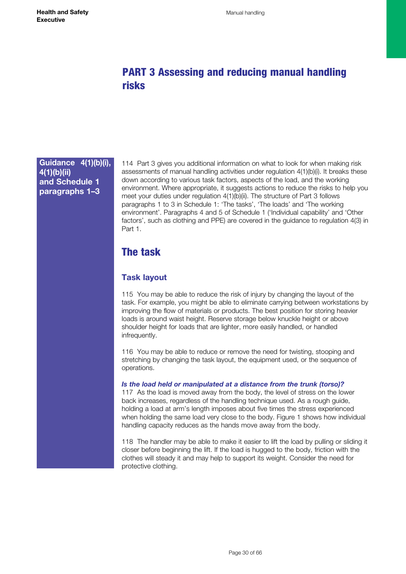# <span id="page-29-0"></span>PART 3 Assessing and reducing manual handling risks

# **Guidance 4(1)(b)(i), 4(1)(b)(ii) and Schedule 1 paragraphs 1–3**

114 Part 3 gives you additional information on what to look for when making risk assessments of manual handling activities under regulation 4(1)(b)(i). It breaks these down according to various task factors, aspects of the load, and the working environment. Where appropriate, it suggests actions to reduce the risks to help you meet your duties under regulation 4(1)(b)(ii). The structure of Part 3 follows paragraphs 1 to 3 in Schedule 1: 'The tasks', 'The loads' and 'The working environment'. Paragraphs 4 and 5 of Schedule 1 ('Individual capability' and 'Other factors', such as clothing and PPE) are covered in the guidance to regulation 4(3) in Part 1.

# The task

# **Task layout**

115 You may be able to reduce the risk of injury by changing the layout of the task. For example, you might be able to eliminate carrying between workstations by improving the flow of materials or products. The best position for storing heavier loads is around waist height. Reserve storage below knuckle height or above shoulder height for loads that are lighter, more easily handled, or handled infrequently.

116 You may be able to reduce or remove the need for twisting, stooping and stretching by changing the task layout, the equipment used, or the sequence of operations.

*Is the load held or manipulated at a distance from the trunk (torso)?* 

117 As the load is moved away from the body, the level of stress on the lower back increases, regardless of the handling technique used. As a rough guide, holding a load at arm's length imposes about five times the stress experienced when holding the same load very close to the body. Figure 1 shows how individual handling capacity reduces as the hands move away from the body.

118 The handler may be able to make it easier to lift the load by pulling or sliding it closer before beginning the lift. If the load is hugged to the body, friction with the clothes will steady it and may help to support its weight. Consider the need for protective clothing.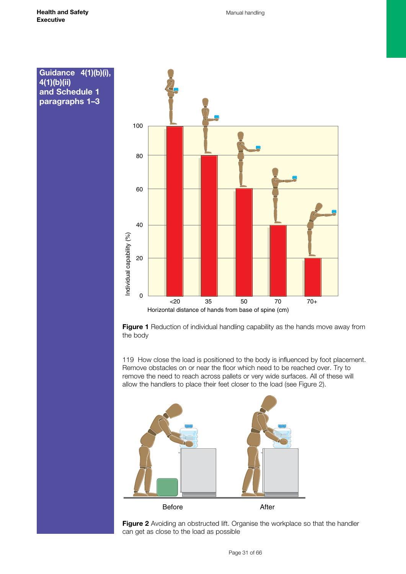**4(1)(b)(ii)**

**and Schedule 1 paragraphs 1–3**



**Figure 1** Reduction of individual handling capability as the hands move away from the body

119 How close the load is positioned to the body is influenced by foot placement. Remove obstacles on or near the floor which need to be reached over. Try to remove the need to reach across pallets or very wide surfaces. All of these will allow the handlers to place their feet closer to the load (see Figure 2).



Figure 2 Avoiding an obstructed lift. Organise the workplace so that the handler can get as close to the load as possible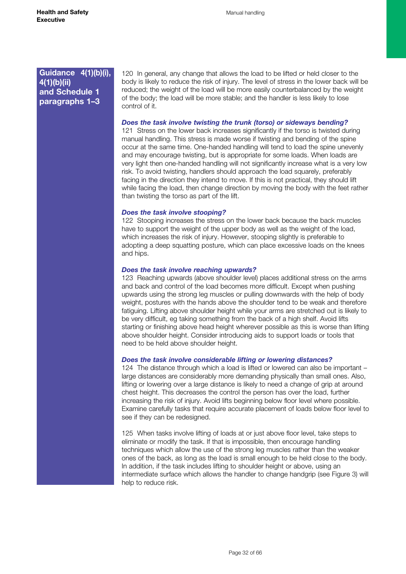120 In general, any change that allows the load to be lifted or held closer to the body is likely to reduce the risk of injury. The level of stress in the lower back will be reduced; the weight of the load will be more easily counterbalanced by the weight of the body; the load will be more stable; and the handler is less likely to lose control of it.

#### *Does the task involve twisting the trunk (torso) or sideways bending?*

121 Stress on the lower back increases significantly if the torso is twisted during manual handling. This stress is made worse if twisting and bending of the spine occur at the same time. One-handed handling will tend to load the spine unevenly and may encourage twisting, but is appropriate for some loads. When loads are very light then one-handed handling will not significantly increase what is a very low risk. To avoid twisting, handlers should approach the load squarely, preferably facing in the direction they intend to move. If this is not practical, they should lift while facing the load, then change direction by moving the body with the feet rather than twisting the torso as part of the lift.

#### *Does the task involve stooping?*

122 Stooping increases the stress on the lower back because the back muscles have to support the weight of the upper body as well as the weight of the load. which increases the risk of injury. However, stooping slightly is preferable to adopting a deep squatting posture, which can place excessive loads on the knees and hips.

#### *Does the task involve reaching upwards?*

123 Reaching upwards (above shoulder level) places additional stress on the arms and back and control of the load becomes more difficult. Except when pushing upwards using the strong leg muscles or pulling downwards with the help of body weight, postures with the hands above the shoulder tend to be weak and therefore fatiguing. Lifting above shoulder height while your arms are stretched out is likely to be very difficult, eg taking something from the back of a high shelf. Avoid lifts starting or finishing above head height wherever possible as this is worse than lifting above shoulder height. Consider introducing aids to support loads or tools that need to be held above shoulder height.

#### *Does the task involve considerable lifting or lowering distances?*

124 The distance through which a load is lifted or lowered can also be important – large distances are considerably more demanding physically than small ones. Also, lifting or lowering over a large distance is likely to need a change of grip at around chest height. This decreases the control the person has over the load, further increasing the risk of injury. Avoid lifts beginning below floor level where possible. Examine carefully tasks that require accurate placement of loads below floor level to see if they can be redesigned.

125 When tasks involve lifting of loads at or just above floor level, take steps to eliminate or modify the task. If that is impossible, then encourage handling techniques which allow the use of the strong leg muscles rather than the weaker ones of the back, as long as the load is small enough to be held close to the body. In addition, if the task includes lifting to shoulder height or above, using an intermediate surface which allows the handler to change handgrip (see Figure 3) will help to reduce risk.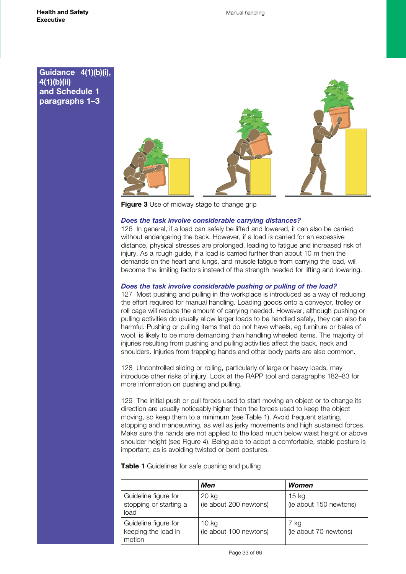

**Figure 3** Use of midway stage to change grip

#### *Does the task involve considerable carrying distances?*

126 In general, if a load can safely be lifted and lowered, it can also be carried without endangering the back. However, if a load is carried for an excessive distance, physical stresses are prolonged, leading to fatigue and increased risk of injury. As a rough guide, if a load is carried further than about 10 m then the demands on the heart and lungs, and muscle fatigue from carrying the load, will become the limiting factors instead of the strength needed for lifting and lowering.

#### *Does the task involve considerable pushing or pulling of the load?*

127 Most pushing and pulling in the workplace is introduced as a way of reducing the effort required for manual handling. Loading goods onto a conveyor, trolley or roll cage will reduce the amount of carrying needed. However, although pushing or pulling activities do usually allow larger loads to be handled safely, they can also be harmful. Pushing or pulling items that do not have wheels, eg furniture or bales of wool, is likely to be more demanding than handling wheeled items. The majority of injuries resulting from pushing and pulling activities affect the back, neck and shoulders. Injuries from trapping hands and other body parts are also common.

128 Uncontrolled sliding or rolling, particularly of large or heavy loads, may introduce other risks of injury. Look at the RAPP tool and paragraphs 182–83 for more information on pushing and pulling.

129 The initial push or pull forces used to start moving an object or to change its direction are usually noticeably higher than the forces used to keep the object moving, so keep them to a minimum (see Table 1). Avoid frequent starting, stopping and manoeuvring, as well as jerky movements and high sustained forces. Make sure the hands are not applied to the load much below waist height or above shoulder height (see Figure 4). Being able to adopt a comfortable, stable posture is important, as is avoiding twisted or bent postures.

**Table 1** Guidelines for safe pushing and pulling

|                                                        | Men                             | Women                           |
|--------------------------------------------------------|---------------------------------|---------------------------------|
| Guideline figure for<br>stopping or starting a<br>load | 20 kg<br>(ie about 200 newtons) | 15 kg<br>(ie about 150 newtons) |
| Guideline figure for<br>keeping the load in<br>motion  | 10 kg<br>(ie about 100 newtons) | 7 ka<br>(ie about 70 newtons)   |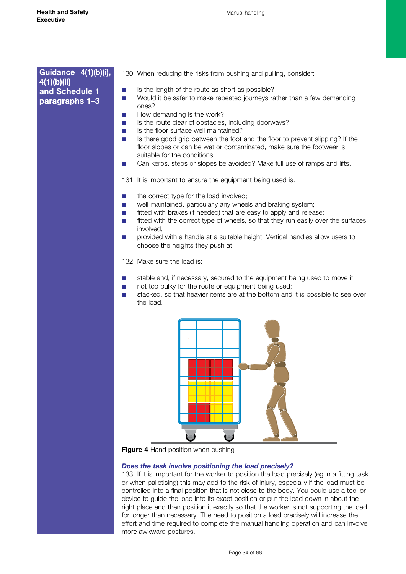- 130 When reducing the risks from pushing and pulling, consider:
- Is the length of the route as short as possible?
- Would it be safer to make repeated journeys rather than a few demanding ones?
- How demanding is the work?
- Is the route clear of obstacles, including doorways?
- Is the floor surface well maintained?
- Is there good grip between the foot and the floor to prevent slipping? If the floor slopes or can be wet or contaminated, make sure the footwear is suitable for the conditions.
- Can kerbs, steps or slopes be avoided? Make full use of ramps and lifts.
- 131 It is important to ensure the equipment being used is:
- the correct type for the load involved;
- well maintained, particularly any wheels and braking system;
- fitted with brakes (if needed) that are easy to apply and release:
- fitted with the correct type of wheels, so that they run easily over the surfaces involved;
- provided with a handle at a suitable height. Vertical handles allow users to choose the heights they push at.

132 Make sure the load is:

- stable and, if necessary, secured to the equipment being used to move it;
- not too bulky for the route or equipment being used;
- stacked, so that heavier items are at the bottom and it is possible to see over the load.



**Figure 4** Hand position when pushing

#### *Does the task involve positioning the load precisely?*

133 If it is important for the worker to position the load precisely (eg in a fitting task or when palletising) this may add to the risk of injury, especially if the load must be controlled into a final position that is not close to the body. You could use a tool or device to guide the load into its exact position or put the load down in about the right place and then position it exactly so that the worker is not supporting the load for longer than necessary. The need to position a load precisely will increase the effort and time required to complete the manual handling operation and can involve more awkward postures.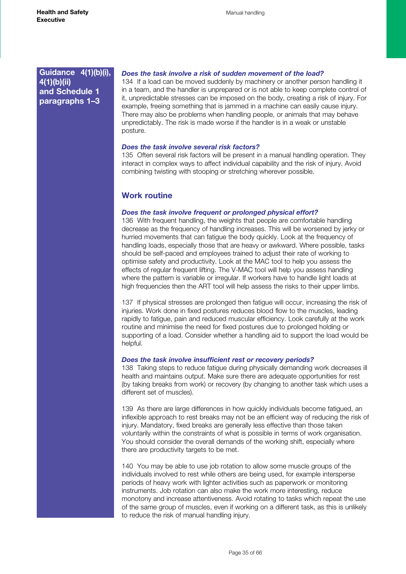### <span id="page-34-0"></span>*Does the task involve a risk of sudden movement of the load?*

134 If a load can be moved suddenly by machinery or another person handling it in a team, and the handler is unprepared or is not able to keep complete control of it, unpredictable stresses can be imposed on the body, creating a risk of injury. For example, freeing something that is jammed in a machine can easily cause injury. There may also be problems when handling people, or animals that may behave unpredictably. The risk is made worse if the handler is in a weak or unstable posture.

#### *Does the task involve several risk factors?*

135 Often several risk factors will be present in a manual handling operation. They interact in complex ways to affect individual capability and the risk of injury. Avoid combining twisting with stooping or stretching wherever possible.

## **Work routine**

#### *Does the task involve frequent or prolonged physical effort?*

136 With frequent handling, the weights that people are comfortable handling decrease as the frequency of handling increases. This will be worsened by jerky or hurried movements that can fatigue the body quickly. Look at the frequency of handling loads, especially those that are heavy or awkward. Where possible, tasks should be self-paced and employees trained to adjust their rate of working to optimise safety and productivity. Look at the MAC tool to help you assess the effects of regular frequent lifting. The V-MAC tool will help you assess handling where the pattern is variable or irregular. If workers have to handle light loads at high frequencies then the ART tool will help assess the risks to their upper limbs.

137 If physical stresses are prolonged then fatigue will occur, increasing the risk of injuries. Work done in fixed postures reduces blood flow to the muscles, leading rapidly to fatigue, pain and reduced muscular efficiency. Look carefully at the work routine and minimise the need for fixed postures due to prolonged holding or supporting of a load. Consider whether a handling aid to support the load would be helpful.

### *Does the task involve insufficient rest or recovery periods?*

138 Taking steps to reduce fatigue during physically demanding work decreases ill health and maintains output. Make sure there are adequate opportunities for rest (by taking breaks from work) or recovery (by changing to another task which uses a different set of muscles).

139 As there are large differences in how quickly individuals become fatigued, an inflexible approach to rest breaks may not be an efficient way of reducing the risk of injury. Mandatory, fixed breaks are generally less effective than those taken voluntarily within the constraints of what is possible in terms of work organisation. You should consider the overall demands of the working shift, especially where there are productivity targets to be met.

140 You may be able to use job rotation to allow some muscle groups of the individuals involved to rest while others are being used, for example intersperse periods of heavy work with lighter activities such as paperwork or monitoring instruments. Job rotation can also make the work more interesting, reduce monotony and increase attentiveness. Avoid rotating to tasks which repeat the use of the same group of muscles, even if working on a different task, as this is unlikely to reduce the risk of manual handling injury.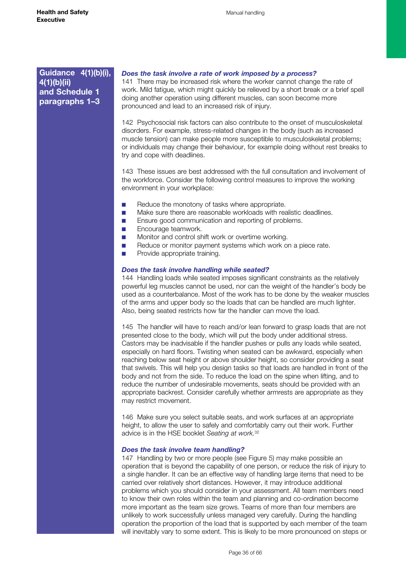#### *Does the task involve a rate of work imposed by a process?*

141 There may be increased risk where the worker cannot change the rate of work. Mild fatigue, which might quickly be relieved by a short break or a brief spell doing another operation using different muscles, can soon become more pronounced and lead to an increased risk of injury.

142 Psychosocial risk factors can also contribute to the onset of musculoskeletal disorders. For example, stress-related changes in the body (such as increased muscle tension) can make people more susceptible to musculoskeletal problems; or individuals may change their behaviour, for example doing without rest breaks to try and cope with deadlines.

143 These issues are best addressed with the full consultation and involvement of the workforce. Consider the following control measures to improve the working environment in your workplace:

- Reduce the monotony of tasks where appropriate.
- Make sure there are reasonable workloads with realistic deadlines.
- Ensure good communication and reporting of problems.
- Encourage teamwork.
- Monitor and control shift work or overtime working.
- Reduce or monitor payment systems which work on a piece rate.
- Provide appropriate training.

#### *Does the task involve handling while seated?*

144 Handling loads while seated imposes significant constraints as the relatively powerful leg muscles cannot be used, nor can the weight of the handler's body be used as a counterbalance. Most of the work has to be done by the weaker muscles of the arms and upper body so the loads that can be handled are much lighter. Also, being seated restricts how far the handler can move the load.

145 The handler will have to reach and/or lean forward to grasp loads that are not presented close to the body, which will put the body under additional stress. Castors may be inadvisable if the handler pushes or pulls any loads while seated, especially on hard floors. Twisting when seated can be awkward, especially when reaching below seat height or above shoulder height, so consider providing a seat that swivels. This will help you design tasks so that loads are handled in front of the body and not from the side. To reduce the load on the spine when lifting, and to reduce the number of undesirable movements, seats should be provided with an appropriate backrest. Consider carefully whether armrests are appropriate as they may restrict movement.

146 Make sure you select suitable seats, and work surfaces at an appropriate height, to allow the user to safely and comfortably carry out their work. Further advice is in the HSE booklet *Seating at work.*<sup>32</sup>

#### *Does the task involve team handling?*

147 Handling by two or more people (see Figure 5) may make possible an operation that is beyond the capability of one person, or reduce the risk of injury to a single handler. It can be an effective way of handling large items that need to be carried over relatively short distances. However, it may introduce additional problems which you should consider in your assessment. All team members need to know their own roles within the team and planning and co-ordination become more important as the team size grows. Teams of more than four members are unlikely to work successfully unless managed very carefully. During the handling operation the proportion of the load that is supported by each member of the team will inevitably vary to some extent. This is likely to be more pronounced on steps or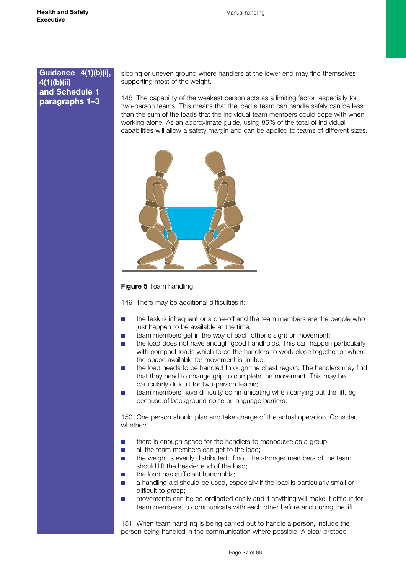sloping or uneven ground where handlers at the lower end may find themselves supporting most of the weight.

148 The capability of the weakest person acts as a limiting factor, especially for two-person teams. This means that the load a team can handle safely can be less than the sum of the loads that the individual team members could cope with when working alone. As an approximate guide, using 85% of the total of individual capabilities will allow a safety margin and can be applied to teams of different sizes.



#### **Figure 5** Team handling

149 There may be additional difficulties if:

- the task is infrequent or a one-off and the team members are the people who just happen to be available at the time;
- team members get in the way of each other's sight or movement;
- the load does not have enough good handholds. This can happen particularly with compact loads which force the handlers to work close together or where the space available for movement is limited;
- the load needs to be handled through the chest region. The handlers may find that they need to change grip to complete the movement. This may be particularly difficult for two-person teams;
- team members have difficulty communicating when carrying out the lift, eg because of background noise or language barriers.

150 One person should plan and take charge of the actual operation. Consider whether:

- there is enough space for the handlers to manoeuvre as a group;
- all the team members can get to the load;
- the weight is evenly distributed. If not, the stronger members of the team should lift the heavier end of the load;
- the load has sufficient handholds;
- a handling aid should be used, especially if the load is particularly small or difficult to grasp;
- movements can be co-ordinated easily and if anything will make it difficult for team members to communicate with each other before and during the lift.

151 When team handling is being carried out to handle a person, include the person being handled in the communication where possible. A clear protocol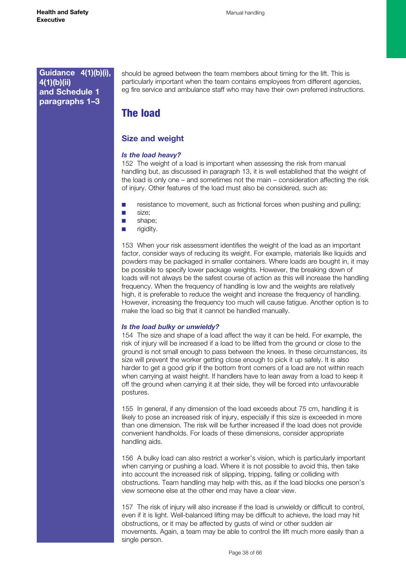<span id="page-37-0"></span>should be agreed between the team members about timing for the lift. This is particularly important when the team contains employees from different agencies, eg fire service and ambulance staff who may have their own preferred instructions.

# The load

# **Size and weight**

#### *Is the load heavy?*

152 The weight of a load is important when assessing the risk from manual handling but, as discussed in paragraph 13, it is well established that the weight of the load is only one – and sometimes not the main – consideration affecting the risk of injury. Other features of the load must also be considered, such as:

- resistance to movement, such as frictional forces when pushing and pulling;
- size;
- shape:
- rigidity.

153 When your risk assessment identifies the weight of the load as an important factor, consider ways of reducing its weight. For example, materials like liquids and powders may be packaged in smaller containers. Where loads are bought in, it may be possible to specify lower package weights. However, the breaking down of loads will not always be the safest course of action as this will increase the handling frequency. When the frequency of handling is low and the weights are relatively high, it is preferable to reduce the weight and increase the frequency of handling. However, increasing the frequency too much will cause fatigue. Another option is to make the load so big that it cannot be handled manually.

#### *Is the load bulky or unwieldy?*

154 The size and shape of a load affect the way it can be held. For example, the risk of injury will be increased if a load to be lifted from the ground or close to the ground is not small enough to pass between the knees. In these circumstances, its size will prevent the worker getting close enough to pick it up safely. It is also harder to get a good grip if the bottom front corners of a load are not within reach when carrying at waist height. If handlers have to lean away from a load to keep it off the ground when carrying it at their side, they will be forced into unfavourable postures.

155 In general, if any dimension of the load exceeds about 75 cm, handling it is likely to pose an increased risk of injury, especially if this size is exceeded in more than one dimension. The risk will be further increased if the load does not provide convenient handholds. For loads of these dimensions, consider appropriate handling aids.

156 A bulky load can also restrict a worker's vision, which is particularly important when carrying or pushing a load. Where it is not possible to avoid this, then take into account the increased risk of slipping, tripping, falling or colliding with obstructions. Team handling may help with this, as if the load blocks one person's view someone else at the other end may have a clear view.

157 The risk of injury will also increase if the load is unwieldy or difficult to control, even if it is light. Well-balanced lifting may be difficult to achieve, the load may hit obstructions, or it may be affected by gusts of wind or other sudden air movements. Again, a team may be able to control the lift much more easily than a single person.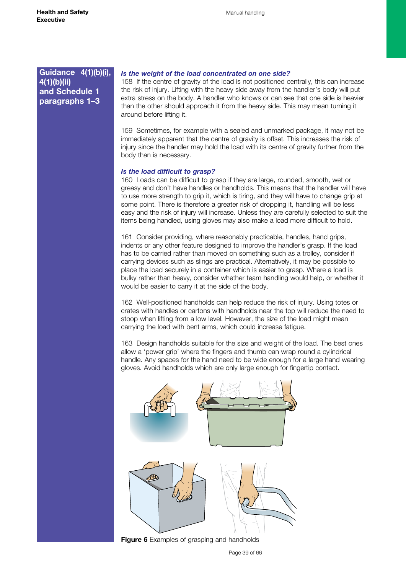#### *Is the weight of the load concentrated on one side?*

158 If the centre of gravity of the load is not positioned centrally, this can increase the risk of injury. Lifting with the heavy side away from the handler's body will put extra stress on the body. A handler who knows or can see that one side is heavier than the other should approach it from the heavy side. This may mean turning it around before lifting it.

159 Sometimes, for example with a sealed and unmarked package, it may not be immediately apparent that the centre of gravity is offset. This increases the risk of injury since the handler may hold the load with its centre of gravity further from the body than is necessary.

#### *Is the load difficult to grasp?*

160 Loads can be difficult to grasp if they are large, rounded, smooth, wet or greasy and don't have handles or handholds. This means that the handler will have to use more strength to grip it, which is tiring, and they will have to change grip at some point. There is therefore a greater risk of dropping it, handling will be less easy and the risk of injury will increase. Unless they are carefully selected to suit the items being handled, using gloves may also make a load more difficult to hold.

161 Consider providing, where reasonably practicable, handles, hand grips, indents or any other feature designed to improve the handler's grasp. If the load has to be carried rather than moved on something such as a trolley, consider if carrying devices such as slings are practical. Alternatively, it may be possible to place the load securely in a container which is easier to grasp. Where a load is bulky rather than heavy, consider whether team handling would help, or whether it would be easier to carry it at the side of the body.

162 Well-positioned handholds can help reduce the risk of injury. Using totes or crates with handles or cartons with handholds near the top will reduce the need to stoop when lifting from a low level. However, the size of the load might mean carrying the load with bent arms, which could increase fatigue.

163 Design handholds suitable for the size and weight of the load. The best ones allow a 'power grip' where the fingers and thumb can wrap round a cylindrical handle. Any spaces for the hand need to be wide enough for a large hand wearing gloves. Avoid handholds which are only large enough for fingertip contact.



**Figure 6** Examples of grasping and handholds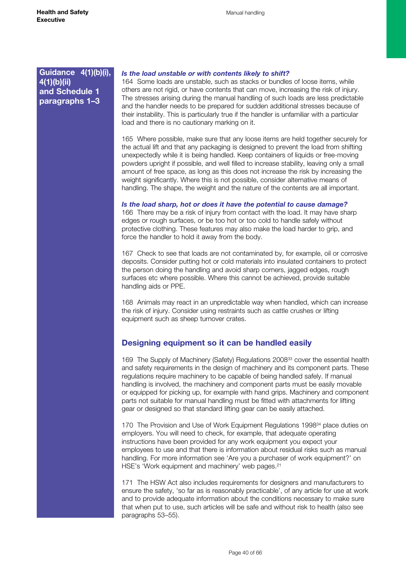#### <span id="page-39-0"></span>*Is the load unstable or with contents likely to shift?*

164 Some loads are unstable, such as stacks or bundles of loose items, while others are not rigid, or have contents that can move, increasing the risk of injury. The stresses arising during the manual handling of such loads are less predictable and the handler needs to be prepared for sudden additional stresses because of their instability. This is particularly true if the handler is unfamiliar with a particular load and there is no cautionary marking on it.

165 Where possible, make sure that any loose items are held together securely for the actual lift and that any packaging is designed to prevent the load from shifting unexpectedly while it is being handled. Keep containers of liquids or free-moving powders upright if possible, and well filled to increase stability, leaving only a small amount of free space, as long as this does not increase the risk by increasing the weight significantly. Where this is not possible, consider alternative means of handling. The shape, the weight and the nature of the contents are all important.

*Is the load sharp, hot or does it have the potential to cause damage?* 166 There may be a risk of injury from contact with the load. It may have sharp edges or rough surfaces, or be too hot or too cold to handle safely without protective clothing. These features may also make the load harder to grip, and force the handler to hold it away from the body.

167 Check to see that loads are not contaminated by, for example, oil or corrosive deposits. Consider putting hot or cold materials into insulated containers to protect the person doing the handling and avoid sharp corners, jagged edges, rough surfaces etc where possible. Where this cannot be achieved, provide suitable handling aids or PPE.

168 Animals may react in an unpredictable way when handled, which can increase the risk of injury. Consider using restraints such as cattle crushes or lifting equipment such as sheep turnover crates.

# **Designing equipment so it can be handled easily**

169 The Supply of Machinery (Safety) Regulations 2008<sup>33</sup> cover the essential health and safety requirements in the design of machinery and its component parts. These regulations require machinery to be capable of being handled safely. If manual handling is involved, the machinery and component parts must be easily movable or equipped for picking up, for example with hand grips. Machinery and component parts not suitable for manual handling must be fitted with attachments for lifting gear or designed so that standard lifting gear can be easily attached.

170 The Provision and Use of Work Equipment Regulations 1998<sup>34</sup> place duties on employers. You will need to check, for example, that adequate operating instructions have been provided for any work equipment you expect your employees to use and that there is information about residual risks such as manual handling. For more information see 'Are you a purchaser of work equipment?' on HSE's 'Work equipment and machinery' web pages.<sup>21</sup>

171 The HSW Act also includes requirements for designers and manufacturers to ensure the safety, 'so far as is reasonably practicable', of any article for use at work and to provide adequate information about the conditions necessary to make sure that when put to use, such articles will be safe and without risk to health (also see paragraphs 53–55).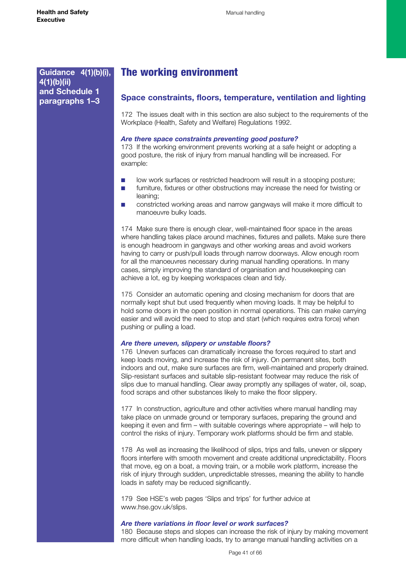# <span id="page-40-0"></span>The working environment

#### **Space constraints, floors, temperature, ventilation and lighting**

172 The issues dealt with in this section are also subject to the requirements of the Workplace (Health, Safety and Welfare) Regulations 1992.

#### *Are there space constraints preventing good posture?*

173 If the working environment prevents working at a safe height or adopting a good posture, the risk of injury from manual handling will be increased. For example:

- low work surfaces or restricted headroom will result in a stooping posture;
- furniture, fixtures or other obstructions may increase the need for twisting or leaning;
- constricted working areas and narrow gangways will make it more difficult to manoeuvre bulky loads.

174 Make sure there is enough clear, well-maintained floor space in the areas where handling takes place around machines, fixtures and pallets. Make sure there is enough headroom in gangways and other working areas and avoid workers having to carry or push/pull loads through narrow doorways. Allow enough room for all the manoeuvres necessary during manual handling operations. In many cases, simply improving the standard of organisation and housekeeping can achieve a lot, eg by keeping workspaces clean and tidy.

175 Consider an automatic opening and closing mechanism for doors that are normally kept shut but used frequently when moving loads. It may be helpful to hold some doors in the open position in normal operations. This can make carrying easier and will avoid the need to stop and start (which requires extra force) when pushing or pulling a load.

#### *Are there uneven, slippery or unstable floors?*

176 Uneven surfaces can dramatically increase the forces required to start and keep loads moving, and increase the risk of injury. On permanent sites, both indoors and out, make sure surfaces are firm, well-maintained and properly drained. Slip-resistant surfaces and suitable slip-resistant footwear may reduce the risk of slips due to manual handling. Clear away promptly any spillages of water, oil, soap, food scraps and other substances likely to make the floor slippery.

177 In construction, agriculture and other activities where manual handling may take place on unmade ground or temporary surfaces, preparing the ground and keeping it even and firm – with suitable coverings where appropriate – will help to control the risks of injury. Temporary work platforms should be firm and stable.

178 As well as increasing the likelihood of slips, trips and falls, uneven or slippery floors interfere with smooth movement and create additional unpredictability. Floors that move, eg on a boat, a moving train, or a mobile work platform, increase the risk of injury through sudden, unpredictable stresses, meaning the ability to handle loads in safety may be reduced significantly.

179 See HSE's web pages 'Slips and trips' for further advice at www.hse.gov.uk/slips.

#### *Are there variations in floor level or work surfaces?*

180 Because steps and slopes can increase the risk of injury by making movement more difficult when handling loads, try to arrange manual handling activities on a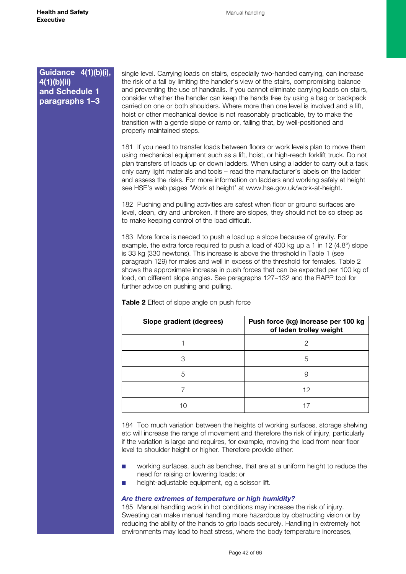single level. Carrying loads on stairs, especially two-handed carrying, can increase the risk of a fall by limiting the handler's view of the stairs, compromising balance and preventing the use of handrails. If you cannot eliminate carrying loads on stairs, consider whether the handler can keep the hands free by using a bag or backpack carried on one or both shoulders. Where more than one level is involved and a lift, hoist or other mechanical device is not reasonably practicable, try to make the transition with a gentle slope or ramp or, failing that, by well-positioned and properly maintained steps.

181 If you need to transfer loads between floors or work levels plan to move them using mechanical equipment such as a lift, hoist, or high-reach forklift truck. Do not plan transfers of loads up or down ladders. When using a ladder to carry out a task only carry light materials and tools – read the manufacturer's labels on the ladder and assess the risks. For more information on ladders and working safely at height see HSE's web pages 'Work at height' at [www.hse.gov.uk/work-at-height](http://www.hse.gov.uk/work-at-height).

182 Pushing and pulling activities are safest when floor or ground surfaces are level, clean, dry and unbroken. If there are slopes, they should not be so steep as to make keeping control of the load difficult.

183 More force is needed to push a load up a slope because of gravity. For example, the extra force required to push a load of 400 kg up a 1 in 12  $(4.8^{\circ})$  slope is 33 kg (330 newtons). This increase is above the threshold in Table 1 (see paragraph 129) for males and well in excess of the threshold for females. Table 2 shows the approximate increase in push forces that can be expected per 100 kg of load, on different slope angles. See paragraphs 127–132 and the RAPP tool for further advice on pushing and pulling.

**Table 2** Effect of slope angle on push force

| Slope gradient (degrees) | Push force (kg) increase per 100 kg<br>of laden trolley weight |
|--------------------------|----------------------------------------------------------------|
|                          |                                                                |
| З                        | 5                                                              |
| 5                        | 9                                                              |
|                          | 12                                                             |
|                          |                                                                |

184 Too much variation between the heights of working surfaces, storage shelving etc will increase the range of movement and therefore the risk of injury, particularly if the variation is large and requires, for example, moving the load from near floor level to shoulder height or higher. Therefore provide either:

- working surfaces, such as benches, that are at a uniform height to reduce the need for raising or lowering loads; or
- height-adjustable equipment, eg a scissor lift.

#### *Are there extremes of temperature or high humidity?*

185 Manual handling work in hot conditions may increase the risk of injury. Sweating can make manual handling more hazardous by obstructing vision or by reducing the ability of the hands to grip loads securely. Handling in extremely hot environments may lead to heat stress, where the body temperature increases,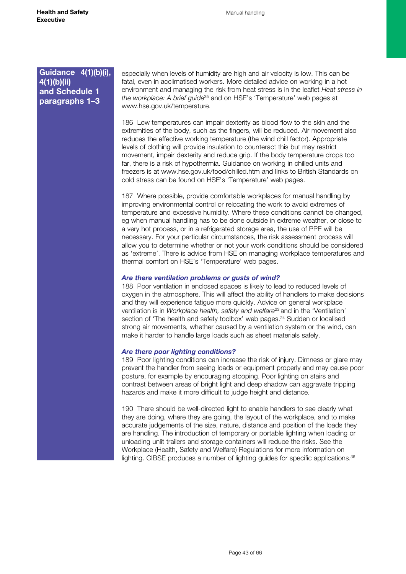especially when levels of humidity are high and air velocity is low. This can be fatal, even in acclimatised workers. More detailed advice on working in a hot environment and managing the risk from heat stress is in the leaflet *Heat stress in the workplace: A brief guide*35 and on HSE's 'Temperature' web pages at www.hse.gov.uk/temperature.

186 Low temperatures can impair dexterity as blood flow to the skin and the extremities of the body, such as the fingers, will be reduced. Air movement also reduces the effective working temperature (the wind chill factor). Appropriate levels of clothing will provide insulation to counteract this but may restrict movement, impair dexterity and reduce grip. If the body temperature drops too far, there is a risk of hypothermia. Guidance on working in chilled units and freezers is at [www.hse.gov.uk/food/chilled.htm](http://www.hse.gov.uk/food/chilled.htm) and links to British Standards on cold stress can be found on HSE's 'Temperature' web pages.

187 Where possible, provide comfortable workplaces for manual handling by improving environmental control or relocating the work to avoid extremes of temperature and excessive humidity. Where these conditions cannot be changed, eg when manual handling has to be done outside in extreme weather, or close to a very hot process, or in a refrigerated storage area, the use of PPE will be necessary. For your particular circumstances, the risk assessment process will allow you to determine whether or not your work conditions should be considered as 'extreme'. There is advice from HSE on managing workplace temperatures and thermal comfort on HSE's 'Temperature' web pages.

#### *Are there ventilation problems or gusts of wind?*

188 Poor ventilation in enclosed spaces is likely to lead to reduced levels of oxygen in the atmosphere. This will affect the ability of handlers to make decisions and they will experience fatigue more quickly. Advice on general workplace ventilation is in *Workplace health, safety and welfare*23 and in the 'Ventilation' section of 'The health and safety toolbox' web pages.<sup>24</sup> Sudden or localised strong air movements, whether caused by a ventilation system or the wind, can make it harder to handle large loads such as sheet materials safely.

#### *Are there poor lighting conditions?*

189 Poor lighting conditions can increase the risk of injury. Dimness or glare may prevent the handler from seeing loads or equipment properly and may cause poor posture, for example by encouraging stooping. Poor lighting on stairs and contrast between areas of bright light and deep shadow can aggravate tripping hazards and make it more difficult to judge height and distance.

190 There should be well-directed light to enable handlers to see clearly what they are doing, where they are going, the layout of the workplace, and to make accurate judgements of the size, nature, distance and position of the loads they are handling. The introduction of temporary or portable lighting when loading or unloading unlit trailers and storage containers will reduce the risks. See the Workplace (Health, Safety and Welfare) Regulations for more information on lighting. CIBSE produces a number of lighting guides for specific applications.<sup>36</sup>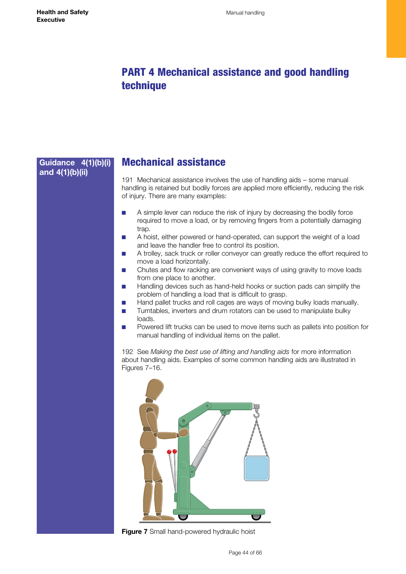# <span id="page-43-0"></span>PART 4 Mechanical assistance and good handling technique

# Mechanical assistance 191 Mechanical assistance involves the use of handling aids – some manual handling is retained but bodily forces are applied more efficiently, reducing the risk of injury. There are many examples: ■ A simple lever can reduce the risk of injury by decreasing the bodily force required to move a load, or by removing fingers from a potentially damaging trap. ■ A hoist, either powered or hand-operated, can support the weight of a load and leave the handler free to control its position. ■ A trolley, sack truck or roller conveyor can greatly reduce the effort required to move a load horizontally. Chutes and flow racking are convenient ways of using gravity to move loads from one place to another. ■ Handling devices such as hand-held hooks or suction pads can simplify the problem of handling a load that is difficult to grasp. ■ Hand pallet trucks and roll cages are ways of moving bulky loads manually. ■ Turntables, inverters and drum rotators can be used to manipulate bulky loads. Powered lift trucks can be used to move items such as pallets into position for manual handling of individual items on the pallet. 192 See *Making the best use of lifting and handling aids* for more information about handling aids. Examples of some common handling aids are illustrated in Figures 7–16. **Guidance 4(1)(b)(i) and 4(1)(b)(ii)**

**Figure 7** Small hand-powered hydraulic hoist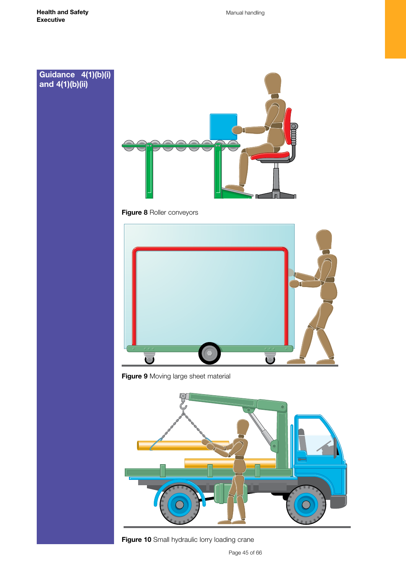## **Guidance 4(1)(b)(i) and 4(1)(b)(ii)**



**Figure 8** Roller conveyors



**Figure 9** Moving large sheet material



**Figure 10** Small hydraulic lorry loading crane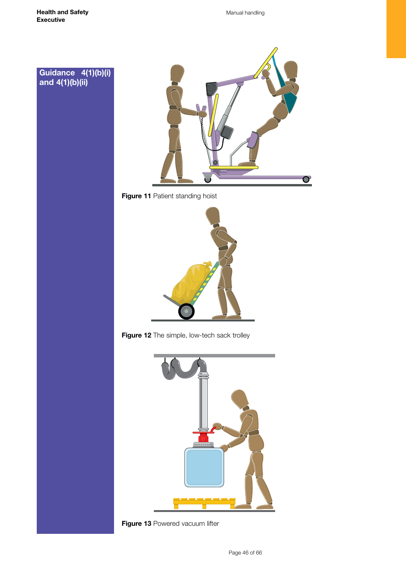**Guidance 4(1)(b)(i)**

**and 4(1)(b)(ii)**

Manual handling











**Figure 13 Powered vacuum lifter**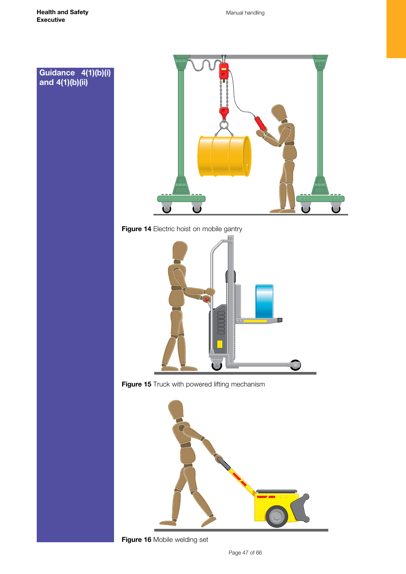



**Figure 14** Electric hoist on mobile gantry



**Figure 15** Truck with powered lifting mechanism



**Figure 16** Mobile welding set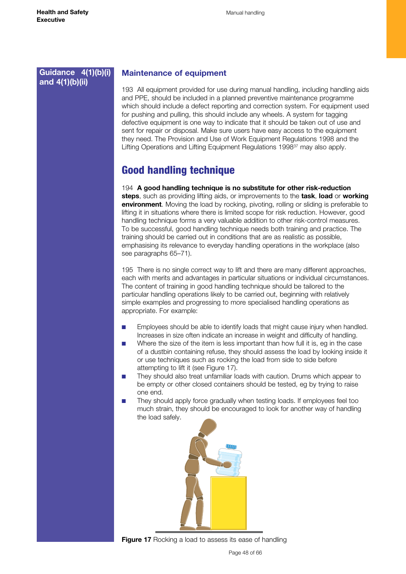# <span id="page-47-0"></span>**Guidance 4(1)(b)(i) and 4(1)(b)(ii)**

## **Maintenance of equipment**

193 All equipment provided for use during manual handling, including handling aids and PPE, should be included in a planned preventive maintenance programme which should include a defect reporting and correction system. For equipment used for pushing and pulling, this should include any wheels. A system for tagging defective equipment is one way to indicate that it should be taken out of use and sent for repair or disposal. Make sure users have easy access to the equipment they need. The Provision and Use of Work Equipment Regulations 1998 and the Lifting Operations and Lifting Equipment Regulations 1998<sup>37</sup> may also apply.

# Good handling technique

194 **A good handling technique is no substitute for other risk-reduction steps**, such as providing lifting aids, or improvements to the **task**, **load** or **working environment**. Moving the load by rocking, pivoting, rolling or sliding is preferable to lifting it in situations where there is limited scope for risk reduction. However, good handling technique forms a very valuable addition to other risk-control measures. To be successful, good handling technique needs both training and practice. The training should be carried out in conditions that are as realistic as possible, emphasising its relevance to everyday handling operations in the workplace (also see paragraphs 65–71).

195 There is no single correct way to lift and there are many different approaches, each with merits and advantages in particular situations or individual circumstances. The content of training in good handling technique should be tailored to the particular handling operations likely to be carried out, beginning with relatively simple examples and progressing to more specialised handling operations as appropriate. For example:

- Employees should be able to identify loads that might cause injury when handled. Increases in size often indicate an increase in weight and difficulty of handling.
- Where the size of the item is less important than how full it is, eg in the case of a dustbin containing refuse, they should assess the load by looking inside it or use techniques such as rocking the load from side to side before attempting to lift it (see Figure 17).
- They should also treat unfamiliar loads with caution. Drums which appear to be empty or other closed containers should be tested, eg by trying to raise one end.
- They should apply force gradually when testing loads. If employees feel too much strain, they should be encouraged to look for another way of handling the load safely.



**Figure 17** Rocking a load to assess its ease of handling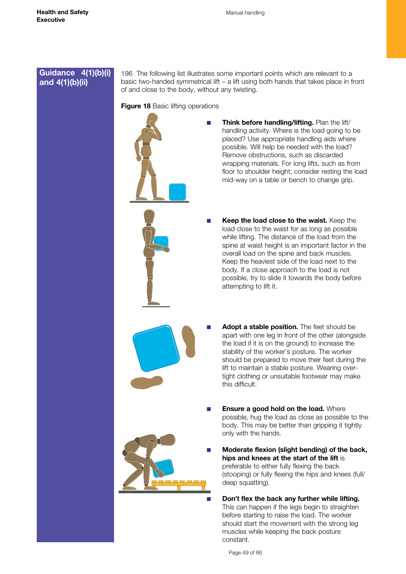## **Guidance 4(1)(b)(i) and 4(1)(b)(ii)**

196 The following list illustrates some important points which are relevant to a basic two-handed symmetrical lift – a lift using both hands that takes place in front of and close to the body, without any twisting.

### **Figure 18 Basic lifting operations**



- **Think before handling/lifting.** Plan the lift/ handling activity. Where is the load going to be placed? Use appropriate handling aids where possible. Will help be needed with the load? Remove obstructions, such as discarded wrapping materials. For long lifts, such as from floor to shoulder height, consider resting the load mid-way on a table or bench to change grip.
- **Keep the load close to the waist.** Keep the load close to the waist for as long as possible while lifting. The distance of the load from the spine at waist height is an important factor in the overall load on the spine and back muscles. Keep the heaviest side of the load next to the body. If a close approach to the load is not possible, try to slide it towards the body before attempting to lift it.
- Adopt a stable position. The feet should be apart with one leg in front of the other (alongside the load if it is on the ground) to increase the stability of the worker's posture. The worker should be prepared to move their feet during the lift to maintain a stable posture. Wearing overtight clothing or unsuitable footwear may make this difficult.
- **Ensure a good hold on the load.** Where possible, hug the load as close as possible to the body. This may be better than gripping it tightly only with the hands.
- **Moderate flexion (slight bending) of the back, hips and knees at the start of the lift** is preferable to either fully flexing the back (stooping) or fully flexing the hips and knees (full/ deep squatting).
	- Don't flex the back any further while lifting. This can happen if the legs begin to straighten before starting to raise the load. The worker should start the movement with the strong leg muscles while keeping the back posture constant.

Page 49 of 66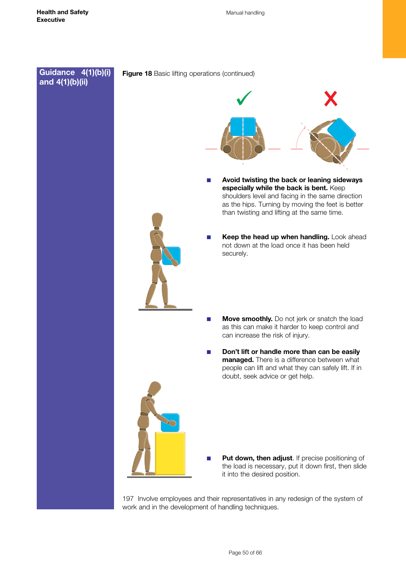

197 Involve employees and their representatives in any redesign of the system of work and in the development of handling techniques.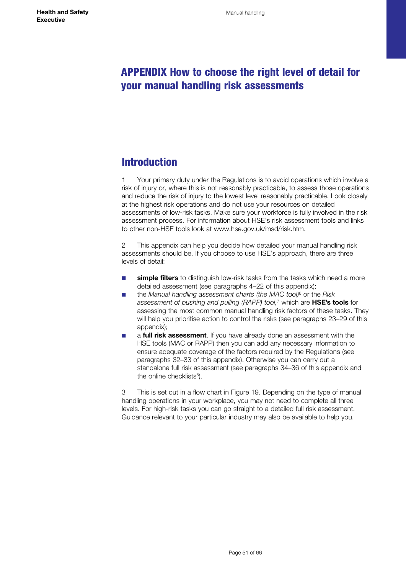# <span id="page-50-0"></span>APPENDIX How to choose the right level of detail for your manual handling risk assessments

# **Introduction**

1 Your primary duty under the Regulations is to avoid operations which involve a risk of injury or, where this is not reasonably practicable, to assess those operations and reduce the risk of injury to the lowest level reasonably practicable. Look closely at the highest risk operations and do not use your resources on detailed assessments of low-risk tasks. Make sure your workforce is fully involved in the risk assessment process. For information about HSE's risk assessment tools and links to other non-HSE tools look at [www.hse.gov.uk/msd/risk.htm.](http://www.hse.gov.uk/msd/risk.htm)

2 This appendix can help you decide how detailed your manual handling risk assessments should be. If you choose to use HSE's approach, there are three levels of detail:

- simple filters to distinguish low-risk tasks from the tasks which need a more detailed assessment (see paragraphs 4–22 of this appendix);
- the *Manual handling assessment charts (the MAC tool)*6 or the *Risk assessment of pushing and pulling (RAPP) tool,*7 which are **HSE's tools** for assessing the most common manual handling risk factors of these tasks. They will help you prioritise action to control the risks (see paragraphs 23–29 of this appendix);
- a **full risk assessment**. If you have already done an assessment with the HSE tools (MAC or RAPP) then you can add any necessary information to ensure adequate coverage of the factors required by the Regulations (see paragraphs 32–33 of this appendix). Otherwise you can carry out a standalone full risk assessment (see paragraphs 34–36 of this appendix and the online checklists<sup>8</sup>).

3 This is set out in a flow chart in Figure 19. Depending on the type of manual handling operations in your workplace, you may not need to complete all three levels. For high-risk tasks you can go straight to a detailed full risk assessment. Guidance relevant to your particular industry may also be available to help you.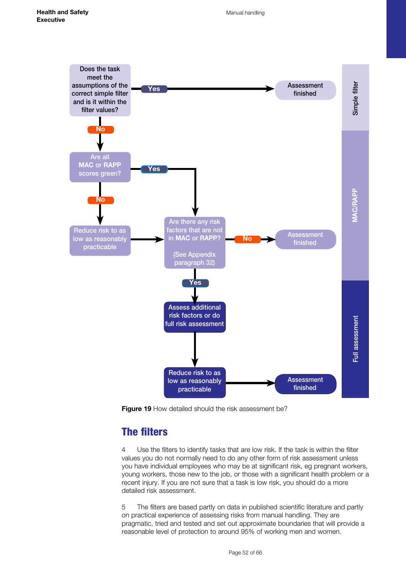<span id="page-51-0"></span>

**Figure 19** How detailed should the risk assessment be?

# The filters

4 Use the filters to identify tasks that are low risk. If the task is within the filter values you do not normally need to do any other form of risk assessment unless you have individual employees who may be at significant risk, eg pregnant workers, young workers, those new to the job, or those with a significant health problem or a recent injury. If you are not sure that a task is low risk, you should do a more detailed risk assessment.

5 The filters are based partly on data in published scientific literature and partly on practical experience of assessing risks from manual handling. They are pragmatic, tried and tested and set out approximate boundaries that will provide a reasonable level of protection to around 95% of working men and women.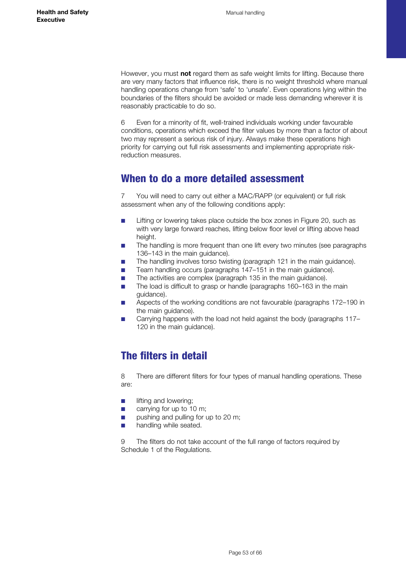<span id="page-52-0"></span>However, you must **not** regard them as safe weight limits for lifting. Because there are very many factors that influence risk, there is no weight threshold where manual handling operations change from 'safe' to 'unsafe'. Even operations lying within the boundaries of the filters should be avoided or made less demanding wherever it is reasonably practicable to do so.

6 Even for a minority of fit, well-trained individuals working under favourable conditions, operations which exceed the filter values by more than a factor of about two may represent a serious risk of injury. Always make these operations high priority for carrying out full risk assessments and implementing appropriate riskreduction measures.

# When to do a more detailed assessment

7 You will need to carry out either a MAC/RAPP (or equivalent) or full risk assessment when any of the following conditions apply:

- Lifting or lowering takes place outside the box zones in Figure 20, such as with very large forward reaches, lifting below floor level or lifting above head height.
- The handling is more frequent than one lift every two minutes (see paragraphs 136–143 in the main guidance).
- The handling involves torso twisting (paragraph 121 in the main guidance).
- Team handling occurs (paragraphs 147–151 in the main guidance).
- The activities are complex (paragraph 135 in the main guidance).
- The load is difficult to grasp or handle (paragraphs 160-163 in the main guidance).
- Aspects of the working conditions are not favourable (paragraphs 172–190 in the main guidance).
- Carrying happens with the load not held against the body (paragraphs 117– 120 in the main guidance).

# The filters in detail

8 There are different filters for four types of manual handling operations. These are:

- **■** lifting and lowering;
- carrying for up to 10 m;
- pushing and pulling for up to 20 m;
- **■** handling while seated.

9 The filters do not take account of the full range of factors required by Schedule 1 of the Regulations.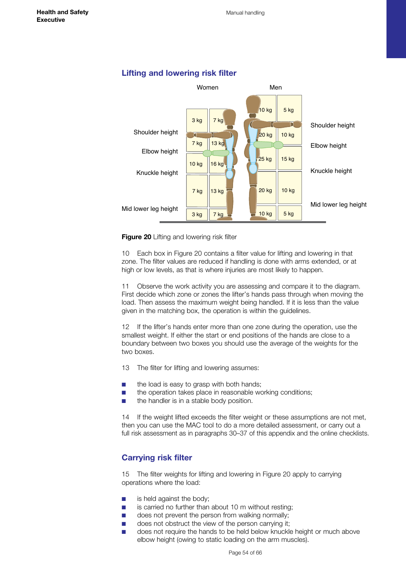<span id="page-53-0"></span>

#### **Lifting and lowering risk filter**



10 Each box in Figure 20 contains a filter value for lifting and lowering in that zone. The filter values are reduced if handling is done with arms extended, or at high or low levels, as that is where injuries are most likely to happen.

Observe the work activity you are assessing and compare it to the diagram. First decide which zone or zones the lifter's hands pass through when moving the load. Then assess the maximum weight being handled. If it is less than the value given in the matching box, the operation is within the guidelines.

12 If the lifter's hands enter more than one zone during the operation, use the smallest weight. If either the start or end positions of the hands are close to a boundary between two boxes you should use the average of the weights for the two boxes.

13 The filter for lifting and lowering assumes:

- the load is easy to grasp with both hands;
- the operation takes place in reasonable working conditions;
- the handler is in a stable body position.

14 If the weight lifted exceeds the filter weight or these assumptions are not met, then you can use the MAC tool to do a more detailed assessment, or carry out a full risk assessment as in paragraphs 30–37 of this appendix and the online checklists.

## **Carrying risk filter**

15 The filter weights for lifting and lowering in Figure 20 apply to carrying operations where the load:

- is held against the body;
- is carried no further than about 10 m without resting;
- does not prevent the person from walking normally;
- does not obstruct the view of the person carrying it;
- does not require the hands to be held below knuckle height or much above elbow height (owing to static loading on the arm muscles).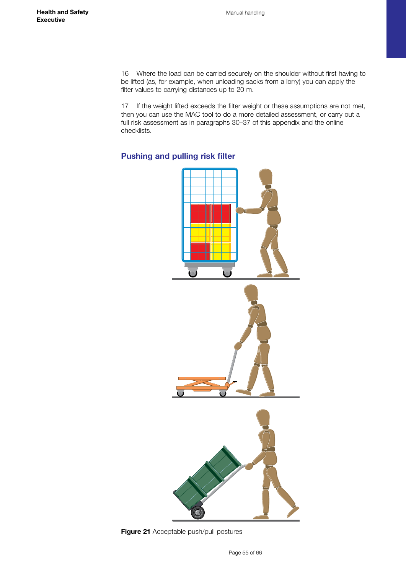<span id="page-54-0"></span>16 Where the load can be carried securely on the shoulder without first having to be lifted (as, for example, when unloading sacks from a lorry) you can apply the filter values to carrying distances up to 20 m.

17 If the weight lifted exceeds the filter weight or these assumptions are not met, then you can use the MAC tool to do a more detailed assessment, or carry out a full risk assessment as in paragraphs 30–37 of this appendix and the online checklists.

# **Pushing and pulling risk filter**



**Figure 21** Acceptable push/pull postures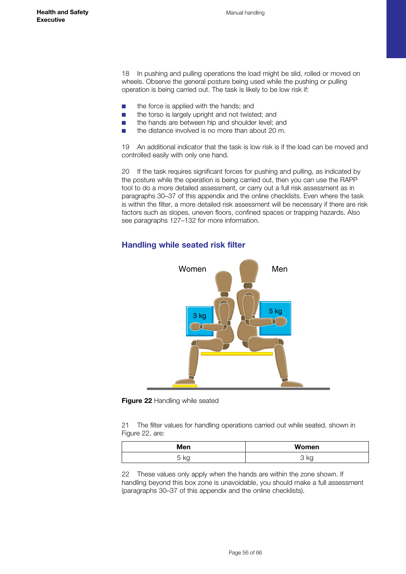<span id="page-55-0"></span>18 In pushing and pulling operations the load might be slid, rolled or moved on wheels. Observe the general posture being used while the pushing or pulling operation is being carried out. The task is likely to be low risk if:

- the force is applied with the hands; and
- the torso is largely upright and not twisted; and
- the hands are between hip and shoulder level; and
- the distance involved is no more than about 20 m.

19 An additional indicator that the task is low risk is if the load can be moved and controlled easily with only one hand.

20 If the task requires significant forces for pushing and pulling, as indicated by the posture while the operation is being carried out, then you can use the RAPP tool to do a more detailed assessment, or carry out a full risk assessment as in paragraphs 30–37 of this appendix and the online checklists. Even where the task is within the filter, a more detailed risk assessment will be necessary if there are risk factors such as slopes, uneven floors, confined spaces or trapping hazards. Also see paragraphs 127–132 for more information.

## **Handling while seated risk filter**



**Figure 22** Handling while seated

21 The filter values for handling operations carried out while seated, shown in Figure 22, are:

| Men        | Women          |
|------------|----------------|
| $\sqrt{2}$ | $\mathbb{R}^n$ |
| ny         | ◡              |
| ັ          | איי            |

22 These values only apply when the hands are within the zone shown. If handling beyond this box zone is unavoidable, you should make a full assessment (paragraphs 30–37 of this appendix and the online checklists).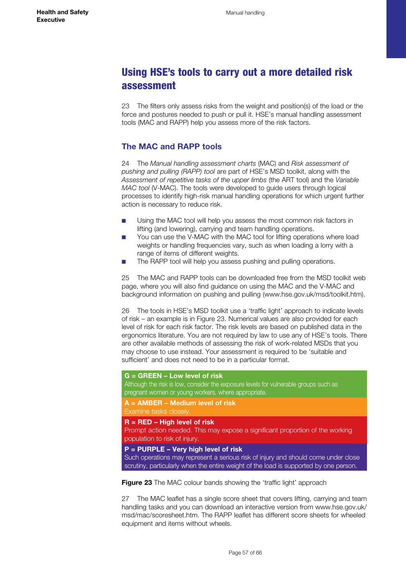# <span id="page-56-0"></span>Using HSE's tools to carry out a more detailed risk assessment

23 The filters only assess risks from the weight and position(s) of the load or the force and postures needed to push or pull it. HSE's manual handling assessment tools (MAC and RAPP) help you assess more of the risk factors.

# **The MAC and RAPP tools**

24 The *Manual handling assessment charts* (MAC) and *Risk assessment of pushing and pulling (RAPP) tool* are part of HSE's MSD toolkit, along with the *Assessment of repetitive tasks of the upper limbs* (the ART tool) and the *Variable MAC tool* (V-MAC). The tools were developed to guide users through logical processes to identify high-risk manual handling operations for which urgent further action is necessary to reduce risk.

- Using the MAC tool will help you assess the most common risk factors in lifting (and lowering), carrying and team handling operations.
- You can use the V-MAC with the MAC tool for lifting operations where load weights or handling frequencies vary, such as when loading a lorry with a range of items of different weights.
- The RAPP tool will help you assess pushing and pulling operations.

25 The MAC and RAPP tools can be downloaded free from the MSD toolkit web page, where you will also find guidance on using the MAC and the V-MAC and background information on pushing and pulling ([www.hse.gov.uk/msd/toolkit.htm\)](http://www.hse.gov.uk/msd/toolkit.htm).

26 The tools in HSE's MSD toolkit use a 'traffic light' approach to indicate levels of risk – an example is in Figure 23. Numerical values are also provided for each level of risk for each risk factor. The risk levels are based on published data in the ergonomics literature. You are not required by law to use any of HSE's tools. There are other available methods of assessing the risk of work-related MSDs that you may choose to use instead. Your assessment is required to be 'suitable and sufficient' and does not need to be in a particular format.

#### **G = GREEN – Low level of risk**

Although the risk is low, consider the exposure levels for vulnerable groups such as pregnant women or young workers, where appropriate.

**A = AMBER – Medium level of risk**  Examine tasks closely.

#### **R = RED – High level of risk**

Prompt action needed. This may expose a significant proportion of the working population to risk of injury.

#### **P = PURPLE – Very high level of risk**

Such operations may represent a serious risk of injury and should come under close scrutiny, particularly when the entire weight of the load is supported by one person.

**Figure 23** The MAC colour bands showing the 'traffic light' approach

27 The MAC leaflet has a single score sheet that covers lifting, carrying and team handling tasks and you can download an interactive version from [www.hse.gov.uk/](http://www.hse.gov.uk/msd/mac/scoresheet.htm) [msd/mac/scoresheet.htm.](http://www.hse.gov.uk/msd/mac/scoresheet.htm) The RAPP leaflet has different score sheets for wheeled equipment and items without wheels.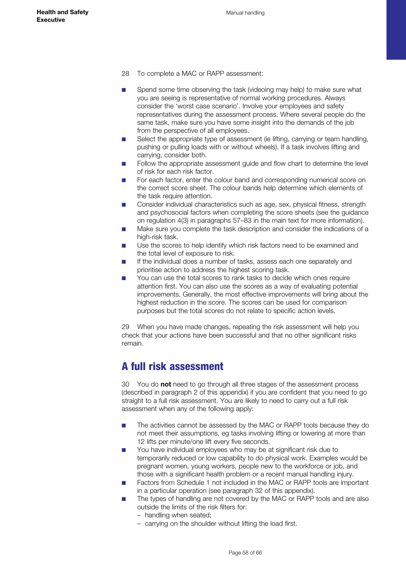- <span id="page-57-0"></span>28 To complete a MAC or RAPP assessment:
- Spend some time observing the task (videoing may help) to make sure what you are seeing is representative of normal working procedures. Always consider the 'worst case scenario'. Involve your employees and safety representatives during the assessment process. Where several people do the same task, make sure you have some insight into the demands of the job from the perspective of all employees.
- Select the appropriate type of assessment (ie lifting, carrying or team handling, pushing or pulling loads with or without wheels). If a task involves lifting and carrying, consider both.
- Follow the appropriate assessment quide and flow chart to determine the level of risk for each risk factor.
- For each factor, enter the colour band and corresponding numerical score on the correct score sheet. The colour bands help determine which elements of the task require attention.
- Consider individual characteristics such as age, sex, physical fitness, strength and psychosocial factors when completing the score sheets (see the guidance on regulation 4(3) in paragraphs 57–83 in the main text for more information).
- Make sure you complete the task description and consider the indications of a high-risk task.
- Use the scores to help identify which risk factors need to be examined and the total level of exposure to risk.
- If the individual does a number of tasks, assess each one separately and prioritise action to address the highest scoring task.
- You can use the total scores to rank tasks to decide which ones require attention first. You can also use the scores as a way of evaluating potential improvements. Generally, the most effective improvements will bring about the highest reduction in the score. The scores can be used for comparison purposes but the total scores do not relate to specific action levels.

29 When you have made changes, repeating the risk assessment will help you check that your actions have been successful and that no other significant risks remain.

# A full risk assessment

30 You do **not** need to go through all three stages of the assessment process (described in paragraph 2 of this appendix) if you are confident that you need to go straight to a full risk assessment. You are likely to need to carry out a full risk assessment when any of the following apply:

- The activities cannot be assessed by the MAC or RAPP tools because they do not meet their assumptions, eg tasks involving lifting or lowering at more than 12 lifts per minute/one lift every five seconds.
- You have individual employees who may be at significant risk due to temporarily reduced or low capability to do physical work. Examples would be pregnant women, young workers, people new to the workforce or job, and those with a significant health problem or a recent manual handling injury.
- Factors from Schedule 1 not included in the MAC or RAPP tools are important in a particular operation (see paragraph 32 of this appendix).
- The types of handling are not covered by the MAC or RAPP tools and are also outside the limits of the risk filters for:
	- handling when seated;
	- carrying on the shoulder without lifting the load first.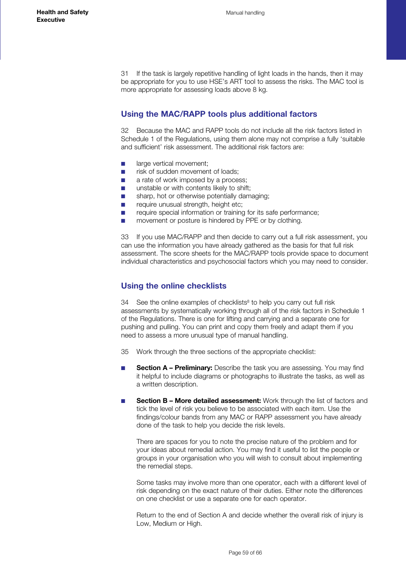<span id="page-58-0"></span>31 If the task is largely repetitive handling of light loads in the hands, then it may be appropriate for you to use HSE's ART tool to assess the risks. The MAC tool is more appropriate for assessing loads above 8 kg.

## **Using the MAC/RAPP tools plus additional factors**

32 Because the MAC and RAPP tools do not include all the risk factors listed in Schedule 1 of the Regulations, using them alone may not comprise a fully 'suitable and sufficient' risk assessment. The additional risk factors are:

- large vertical movement:
- risk of sudden movement of loads;
- a rate of work imposed by a process:
- unstable or with contents likely to shift:
- sharp, hot or otherwise potentially damaging;
- require unusual strength, height etc;
- require special information or training for its safe performance:
- movement or posture is hindered by PPE or by clothing.

33 If you use MAC/RAPP and then decide to carry out a full risk assessment, you can use the information you have already gathered as the basis for that full risk assessment. The score sheets for the MAC/RAPP tools provide space to document individual characteristics and psychosocial factors which you may need to consider.

## **Using the online checklists**

 $34$  See the online examples of checklists<sup>8</sup> to help you carry out full risk assessments by systematically working through all of the risk factors in Schedule 1 of the Regulations. There is one for lifting and carrying and a separate one for pushing and pulling. You can print and copy them freely and adapt them if you need to assess a more unusual type of manual handling.

- 35 Work through the three sections of the appropriate checklist:
- **Section A Preliminary:** Describe the task you are assessing. You may find it helpful to include diagrams or photographs to illustrate the tasks, as well as a written description.
- **Section B More detailed assessment:** Work through the list of factors and tick the level of risk you believe to be associated with each item. Use the findings/colour bands from any MAC or RAPP assessment you have already done of the task to help you decide the risk levels.

There are spaces for you to note the precise nature of the problem and for your ideas about remedial action. You may find it useful to list the people or groups in your organisation who you will wish to consult about implementing the remedial steps.

Some tasks may involve more than one operator, each with a different level of risk depending on the exact nature of their duties. Either note the differences on one checklist or use a separate one for each operator.

Return to the end of Section A and decide whether the overall risk of injury is Low, Medium or High.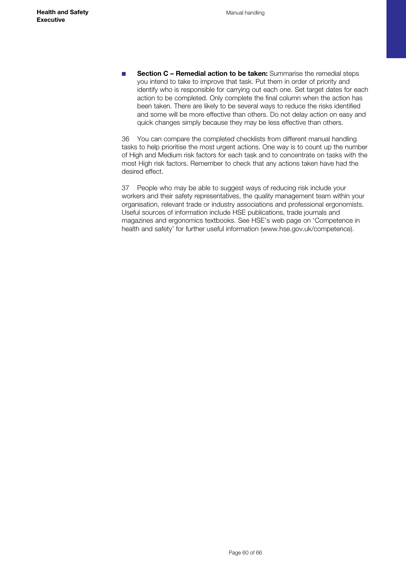■ **Section C – Remedial action to be taken:** Summarise the remedial steps you intend to take to improve that task. Put them in order of priority and identify who is responsible for carrying out each one. Set target dates for each action to be completed. Only complete the final column when the action has been taken. There are likely to be several ways to reduce the risks identified and some will be more effective than others. Do not delay action on easy and quick changes simply because they may be less effective than others.

36 You can compare the completed checklists from different manual handling tasks to help prioritise the most urgent actions. One way is to count up the number of High and Medium risk factors for each task and to concentrate on tasks with the most High risk factors. Remember to check that any actions taken have had the desired effect.

37 People who may be able to suggest ways of reducing risk include your workers and their safety representatives, the quality management team within your organisation, relevant trade or industry associations and professional ergonomists. Useful sources of information include HSE publications, trade journals and magazines and ergonomics textbooks. See HSE's web page on 'Competence in health and safety' for further useful information ([www.hse.gov.uk/competence](http://www.hse.gov.uk/competence)).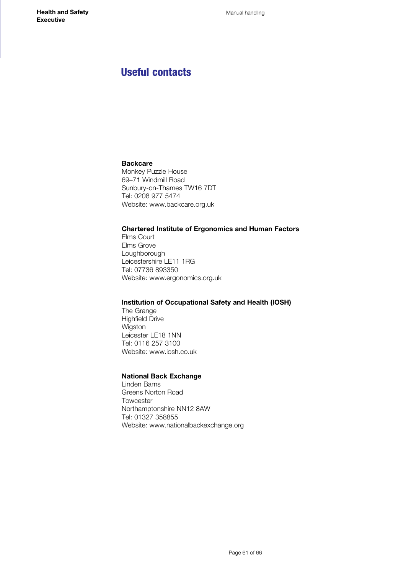# <span id="page-60-0"></span>Useful contacts

## **Backcare**

Monkey Puzzle House 69–71 Windmill Road Sunbury-on-Thames TW16 7DT Tel: 0208 977 5474 Website: [www.backcare.org.uk](http://www.backcare.org.uk)

## **Chartered Institute of Ergonomics and Human Factors**

Elms Court Elms Grove Loughborough Leicestershire LE11 1RG Tel: 07736 893350 Website: [www.ergonomics.org.uk](http://www.ergonomics.org.uk)

#### **Institution of Occupational Safety and Health (IOSH)**

The Grange Highfield Drive Wigston Leicester LE18 1NN Tel: 0116 257 3100 Website: [www.iosh.co.uk](http://www.iosh.co.uk) 

## **National Back Exchange**

Linden Barns Greens Norton Road Towcester Northamptonshire NN12 8AW Tel: 01327 358855 Website: [www.nationalbackexchange.org](http://www.nationalbackexchange.org)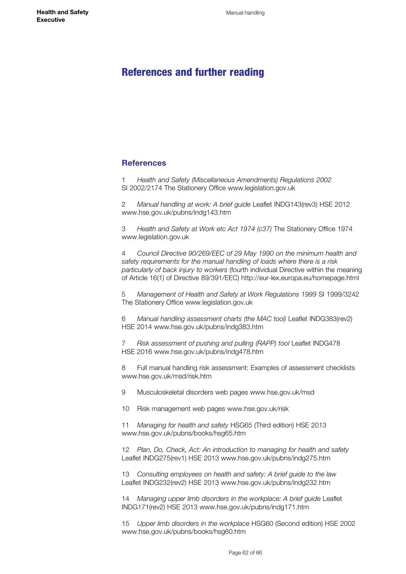# <span id="page-61-0"></span>References and further reading

#### **References**

1 *Health and Safety (Miscellaneous Amendments) Regulations 2002* SI 2002/2174 The Stationery Office [www.legislation.gov.uk](http://www.legislation.gov.uk)

2 *Manual handling at work: A brief guide* Leaflet INDG143(rev3) HSE 2012 [www.hse.gov.uk/pubns/indg143.htm](http://www.hse.gov.uk/pubns/indg143.htm)

3 *Health and Safety at Work etc Act 1974 (c37)* The Stationery Office 1974 [www.legislation.gov.uk](http://www.legislation.gov.uk)

4 *Council Directive 90/269/EEC of 29 May 1990 on the minimum health and safety requirements for the manual handling of loads where there is a risk particularly of back injury to workers* (fourth individual Directive within the meaning of Article 16(1) of Directive 89/391/EEC) <http://eur-lex.europa.eu/homepage.html>

5 *Management of Health and Safety at Work Regulations 1999* SI 1999/3242 The Stationery Office [www.legislation.gov.uk](http://www.legislation.gov.uk) 

6 *Manual handling assessment charts (the MAC tool)* Leaflet INDG383(rev2) HSE 2014 [www.hse.gov.uk/pubns/indg383.htm](http://www.hse.gov.uk/pubns/indg383.htm)

7 *Risk assessment of pushing and pulling (RAPP) tool* Leaflet INDG478 HSE 2016 www.hse.gov.uk/pubns/indg478.htm

8 Full manual handling risk assessment: Examples of assessment checklists [www.hse.gov.uk/msd/risk.htm](http://www.hse.gov.uk/msd/risk.htm)

9 Musculoskeletal disorders web pages [www.hse.gov.uk/msd](http://www.hse.gov.uk/msd)

10 Risk management web pages [www.hse.gov.uk/risk](http://www.hse.gov.uk/risk) 

11 *Managing for health and safety* HSG65 (Third edition) HSE 2013 [www.hse.gov.uk/pubns/books/hsg65.htm](http://www.hse.gov.uk/pubns/books/hsg65.htm) 

12 *Plan, Do, Check, Act: An introduction to managing for health and safety* Leaflet INDG275(rev1) HSE 2013 [www.hse.gov.uk/pubns/indg275.htm](http://www.hse.gov.uk/pubns/indg275.htm)

13 *Consulting employees on health and safety: A brief guide to the law* Leaflet INDG232(rev2) HSE 2013 [www.hse.gov.uk/pubns/indg232.htm](http://www.hse.gov.uk/pubns/indg232.htm)

14 *Managing upper limb disorders in the workplace: A brief guide* Leaflet INDG171(rev2) HSE 2013 [www.hse.gov.uk/pubns/indg171.htm](http://www.hse.gov.uk/pubns/indg171.htm)

15 *Upper limb disorders in the workplace* HSG60 (Second edition) HSE 2002 [www.hse.gov.uk/pubns/books/hsg60.htm](http://www.hse.gov.uk/pubns/books/hsg60.htm)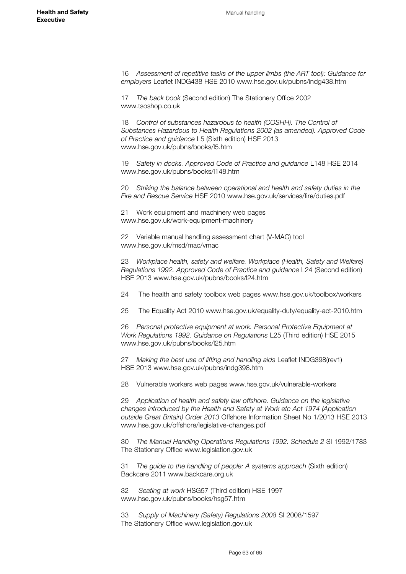16 *Assessment of repetitive tasks of the upper limbs (the ART tool): Guidance for employers* Leaflet INDG438 HSE 2010 [www.hse.gov.uk/pubns/indg438.htm](http://www.hse.gov.uk/pubns/indg438.htm) 

17 *The back book* (Second edition) The Stationery Office 2002 [www.tsoshop.co.uk](http://www.tsoshop.co.uk)

18 *Control of substances hazardous to health (COSHH). The Control of Substances Hazardous to Health Regulations 2002 (as amended). Approved Code of Practice and guidance* L5 (Sixth edition) HSE 2013 [www.hse.gov.uk/pubns/books/l5.htm](http://www.hse.gov.uk/pubns/books/l5.htm)

19 *Safety in docks. Approved Code of Practice and guidance* L148 HSE 2014 [www.hse.gov.uk/pubns/books/l148.htm](http://www.hse.gov.uk/pubns/books/l148.htm)

20 *Striking the balance between operational and health and safety duties in the Fire and Rescue Service* HSE 2010 [www.hse.gov.uk/services/fire/duties.pdf](http://www.hse.gov.uk/services/fire/duties.pdf) 

21 Work equipment and machinery web pages [www.hse.gov.uk/work-equipment-machinery](http://www.hse.gov.uk/work-equipment-machinery/)

22 Variable manual handling assessment chart (V-MAC) tool [www.hse.gov.uk/msd/mac/vmac](http://www.hse.gov.uk/msd/mac/vmac)

23 *Workplace health, safety and welfare. Workplace (Health, Safety and Welfare) Regulations 1992. Approved Code of Practice and guidance* L24 (Second edition) HSE 2013 [www.hse.gov.uk/pubns/books/l24.htm](http://www.hse.gov.uk/pubns/books/l24.htm)

24 The health and safety toolbox web pages www.hse.gov.uk/toolbox/workers

25 The Equality Act 2010 [www.hse.gov.uk/equality-duty/equality-act-2010.htm](http://www.hse.gov.uk/equality-duty/equality-act-2010.htm)

26 *Personal protective equipment at work. Personal Protective Equipment at Work Regulations 1992. Guidance on Regulations* L25 (Third edition) HSE 2015 [www.hse.gov.uk/pubns/books/l25.htm](http://www.hse.gov.uk/pubns/books/l25.htm) 

27 *Making the best use of lifting and handling aids* Leaflet INDG398(rev1) HSE 2013 [www.hse.gov.uk/pubns/indg398.htm](http://www.hse.gov.uk/pubns/indg398.htm) 

28 Vulnerable workers web pages [www.hse.gov.uk/vulnerable-workers](http://www.hse.gov.uk/vulnerable-workers)

29 *Application of health and safety law offshore. Guidance on the legislative changes introduced by the Health and Safety at Work etc Act 1974 (Application outside Great Britain) Order 2013* Offshore Information Sheet No 1/2013 HSE 2013 www.hse.gov.uk/offshore/legislative-changes.pdf

30 *The Manual Handling Operations Regulations 1992. Schedule 2* SI 1992/1783 The Stationery Office [www.legislation.gov.uk](http://www.legislation.gov.uk)

31 *The guide to the handling of people: A systems approach* (Sixth edition) Backcare 2011 [www.backcare.org.uk](http://www.backcare.org.uk) 

32 *Seating at work* HSG57 (Third edition) HSE 1997 [www.hse.gov.uk/pubns/books/hsg57.htm](http://www.hse.gov.uk/pubns/books/hsg57.htm)

33 *Supply of Machinery (Safety) Regulations 2008* SI 2008/1597 The Stationery Office www.legislation.gov.uk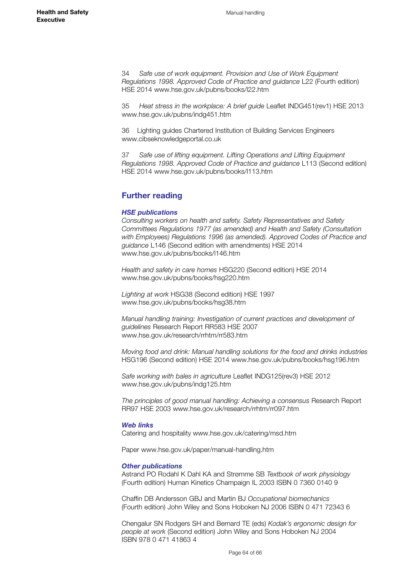34 *Safe use of work equipment. Provision and Use of Work Equipment Regulations 1998. Approved Code of Practice and guidance* L22 (Fourth edition) HSE 2014 [www.hse.gov.uk/pubns/books/l22.htm](http://www.hse.gov.uk/pubns/books/l22.htm)

35 *Heat stress in the workplace: A brief guide* Leaflet INDG451(rev1) HSE 2013 [www.hse.gov.uk/pubns/indg451.htm](http://www.hse.gov.uk/pubns/indg451.htm)

36 Lighting guides Chartered Institution of Building Services Engineers [www.cibseknowledgeportal.co.uk](http://www.cibseknowledgeportal.co.uk)

37 *Safe use of lifting equipment. Lifting Operations and Lifting Equipment Regulations 1998. Approved Code of Practice and guidance* L113 (Second edition) HSE 2014 [www.hse.gov.uk/pubns/books/l113.htm](http://www.hse.gov.uk/pubns/books/l113.htm)

## **Further reading**

#### *HSE publications*

*Consulting workers on health and safety. Safety Representatives and Safety Committees Regulations 1977 (as amended) and Health and Safety (Consultation*  with Employees) Regulations 1996 (as amended). Approved Codes of Practice and *guidance* L146 (Second edition with amendments) HSE 2014 [www.hse.gov.uk/pubns/books/l146.htm](http://www.hse.gov.uk/pubns/books/l146.htm)

*Health and safety in care homes* HSG220 (Second edition) HSE 2014 [www.hse.gov.uk/pubns/books/hsg220.htm](http://www.hse.gov.uk/pubns/books/hsg220.htm)

*Lighting at work* HSG38 (Second edition) HSE 1997 [www.hse.gov.uk/pubns/books/hsg38.htm](http://www.hse.gov.uk/pubns/books/hsg38.htm) 

*Manual handling training: Investigation of current practices and development of guidelines* Research Report RR583 HSE 2007 [www.hse.gov.uk/research/rrhtm/rr583.htm](http://www.hse.gov.uk/research/rrhtm/rr583.htm)

*Moving food and drink: Manual handling solutions for the food and drinks industries* HSG196 (Second edition) HSE 2014 [www.hse.gov.uk/pubns/books/hsg196.htm](http://www.hse.gov.uk/pubns/books/hsg196.htm)

*Safe working with bales in agriculture* Leaflet INDG125(rev3) HSE 2012 [www.hse.gov.uk/pubns/indg125.htm](http://www.hse.gov.uk/pubns/indg125.htm) 

*The principles of good manual handling: Achieving a consensus* Research Report RR97 HSE 2003 [www.hse.gov.uk/research/rrhtm/rr097.htm](http://www.hse.gov.uk/research/rrhtm/rr097.htm)

#### *Web links*

Catering and hospitality [www.hse.gov.uk/catering/msd.htm](http://www.hse.gov.uk/catering/msd.htm) 

Paper [www.hse.gov.uk/paper/manual-handling.htm](http://www.hse.gov.uk/paper/manual-handling.htm) 

#### *Other publications*

Astrand PO Rodahl K Dahl KA and Strømme SB *Textbook of work physiology* (Fourth edition) Human Kinetics Champaign IL 2003 ISBN 0 7360 0140 9

Chaffin DB Andersson GBJ and Martin BJ *Occupational biomechanics*  (Fourth edition) John Wiley and Sons Hoboken NJ 2006 ISBN 0 471 72343 6

Chengalur SN Rodgers SH and Bernard TE (eds) *Kodak's ergonomic design for people at work* (Second edition) John Wiley and Sons Hoboken NJ 2004 ISBN 978 0 471 41863 4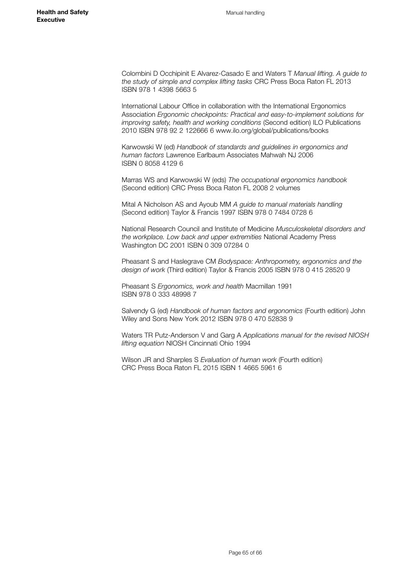Colombini D Occhipinit E Alvarez-Casado E and Waters T *Manual lifting. A guide to the study of simple and complex lifting tasks* CRC Press Boca Raton FL 2013 ISBN 978 1 4398 5663 5

International Labour Office in collaboration with the International Ergonomics Association *Ergonomic checkpoints: Practical and easy-to-implement solutions for improving safety, health and working conditions* (Second edition) ILO Publications 2010 ISBN 978 92 2 122666 6 www.ilo.org/global/publications/books

Karwowski W (ed) *Handbook of standards and guidelines in ergonomics and human factors* Lawrence Earlbaum Associates Mahwah NJ 2006 ISBN 0 8058 4129 6

Marras WS and Karwowski W (eds) *The occupational ergonomics handbook*  (Second edition) CRC Press Boca Raton FL 2008 2 volumes

Mital A Nicholson AS and Ayoub MM *A guide to manual materials handling* (Second edition) Taylor & Francis 1997 ISBN 978 0 7484 0728 6

National Research Council and Institute of Medicine *Musculoskeletal disorders and the workplace. Low back and upper extremities* National Academy Press Washington DC 2001 ISBN 0 309 07284 0

Pheasant S and Haslegrave CM *Bodyspace: Anthropometry, ergonomics and the design of work* (Third edition) Taylor & Francis 2005 ISBN 978 0 415 28520 9

Pheasant S *Ergonomics, work and health* Macmillan 1991 ISBN 978 0 333 48998 7

Salvendy G (ed) *Handbook of human factors and ergonomics* (Fourth edition) John Wiley and Sons New York 2012 ISBN 978 0 470 52838 9

Waters TR Putz-Anderson V and Garg A *Applications manual for the revised NIOSH lifting equation* NIOSH Cincinnati Ohio 1994

Wilson JR and Sharples S *Evaluation of human work* (Fourth edition) CRC Press Boca Raton FL 2015 ISBN 1 4665 5961 6